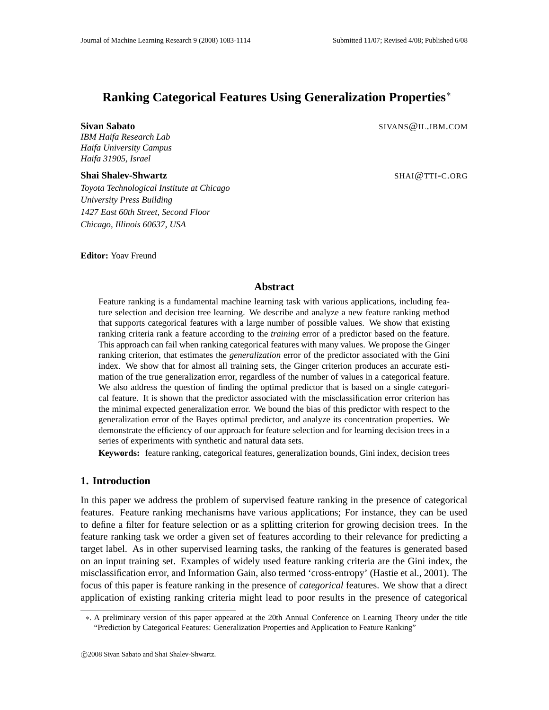# **Ranking Categorical Features Using Generalization Properties**∗

**Sivan Sabato** SIVANS@IL.IBM.COM

*IBM Haifa Research Lab Haifa University Campus Haifa 31905, Israel*

#### **Shai Shalev-Shwartz** SHAIQUE SHAIQUE SHAIQUE SHAIQUE SHAIQUE SHAIQUE SHAIQUE SHAIQUE SHAIQUE SHAIQUE SHAIQUE SHAIQUE SHAIQUE SHAIQUE SHAIQUE SHAIQUE SHAIQUE SHAIQUE SHAIQUE SHAIQUE SHAIQUE SHAIQUE SHAIQUE SHAIQUE SHAIQUE

*Toyota Technological Institute at Chicago University Press Building 1427 East 60th Street, Second Floor Chicago, Illinois 60637, USA*

**Editor:** Yoav Freund

#### **Abstract**

Feature ranking is a fundamental machine learning task with various applications, including feature selection and decision tree learning. We describe and analyze a new feature ranking method that supports categorical features with a large number of possible values. We show that existing ranking criteria rank a feature according to the *training* error of a predictor based on the feature. This approach can fail when ranking categorical features with many values. We propose the Ginger ranking criterion, that estimates the *generalization* error of the predictor associated with the Gini index. We show that for almost all training sets, the Ginger criterion produces an accurate estimation of the true generalization error, regardless of the number of values in a categorical feature. We also address the question of finding the optimal predictor that is based on a single categorical feature. It is shown that the predictor associated with the misclassification error criterion has the minimal expected generalization error. We bound the bias of this predictor with respect to the generalization error of the Bayes optimal predictor, and analyze its concentration properties. We demonstrate the efficiency of our approach for feature selection and for learning decision trees in a series of experiments with synthetic and natural data sets.

**Keywords:** feature ranking, categorical features, generalization bounds, Gini index, decision trees

### **1. Introduction**

In this paper we address the problem of supervised feature ranking in the presence of categorical features. Feature ranking mechanisms have various applications; For instance, they can be used to define a filter for feature selection or as a splitting criterion for growing decision trees. In the feature ranking task we order a given set of features according to their relevance for predicting a target label. As in other supervised learning tasks, the ranking of the features is generated based on an input training set. Examples of widely used feature ranking criteria are the Gini index, the misclassification error, and Information Gain, also termed 'cross-entropy' (Hastie et al., 2001). The focus of this paper is feature ranking in the presence of *categorical* features. We show that a direct application of existing ranking criteria might lead to poor results in the presence of categorical

<sup>∗</sup>. A preliminary version of this paper appeared at the 20th Annual Conference on Learning Theory under the title "Prediction by Categorical Features: Generalization Properties and Application to Feature Ranking"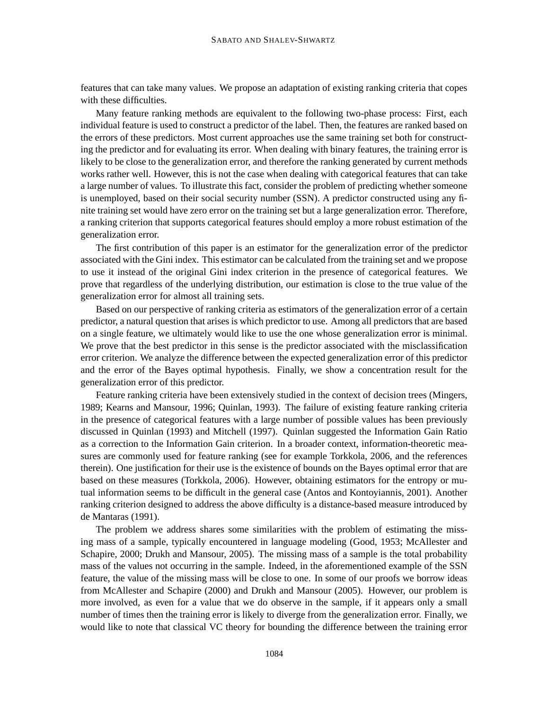features that can take many values. We propose an adaptation of existing ranking criteria that copes with these difficulties.

Many feature ranking methods are equivalent to the following two-phase process: First, each individual feature is used to construct a predictor of the label. Then, the features are ranked based on the errors of these predictors. Most current approaches use the same training set both for constructing the predictor and for evaluating its error. When dealing with binary features, the training error is likely to be close to the generalization error, and therefore the ranking generated by current methods works rather well. However, this is not the case when dealing with categorical features that can take a large number of values. To illustrate this fact, consider the problem of predicting whether someone is unemployed, based on their social security number (SSN). A predictor constructed using any finite training set would have zero error on the training set but a large generalization error. Therefore, a ranking criterion that supports categorical features should employ a more robust estimation of the generalization error.

The first contribution of this paper is an estimator for the generalization error of the predictor associated with the Gini index. This estimator can be calculated from the training set and we propose to use it instead of the original Gini index criterion in the presence of categorical features. We prove that regardless of the underlying distribution, our estimation is close to the true value of the generalization error for almost all training sets.

Based on our perspective of ranking criteria as estimators of the generalization error of a certain predictor, a natural question that arises is which predictor to use. Among all predictors that are based on a single feature, we ultimately would like to use the one whose generalization error is minimal. We prove that the best predictor in this sense is the predictor associated with the misclassification error criterion. We analyze the difference between the expected generalization error of this predictor and the error of the Bayes optimal hypothesis. Finally, we show a concentration result for the generalization error of this predictor.

Feature ranking criteria have been extensively studied in the context of decision trees (Mingers, 1989; Kearns and Mansour, 1996; Quinlan, 1993). The failure of existing feature ranking criteria in the presence of categorical features with a large number of possible values has been previously discussed in Quinlan (1993) and Mitchell (1997). Quinlan suggested the Information Gain Ratio as a correction to the Information Gain criterion. In a broader context, information-theoretic measures are commonly used for feature ranking (see for example Torkkola, 2006, and the references therein). One justification for their use is the existence of bounds on the Bayes optimal error that are based on these measures (Torkkola, 2006). However, obtaining estimators for the entropy or mutual information seems to be difficult in the general case (Antos and Kontoyiannis, 2001). Another ranking criterion designed to address the above difficulty is a distance-based measure introduced by de Mantaras (1991).

The problem we address shares some similarities with the problem of estimating the missing mass of a sample, typically encountered in language modeling (Good, 1953; McAllester and Schapire, 2000; Drukh and Mansour, 2005). The missing mass of a sample is the total probability mass of the values not occurring in the sample. Indeed, in the aforementioned example of the SSN feature, the value of the missing mass will be close to one. In some of our proofs we borrow ideas from McAllester and Schapire (2000) and Drukh and Mansour (2005). However, our problem is more involved, as even for a value that we do observe in the sample, if it appears only a small number of times then the training error is likely to diverge from the generalization error. Finally, we would like to note that classical VC theory for bounding the difference between the training error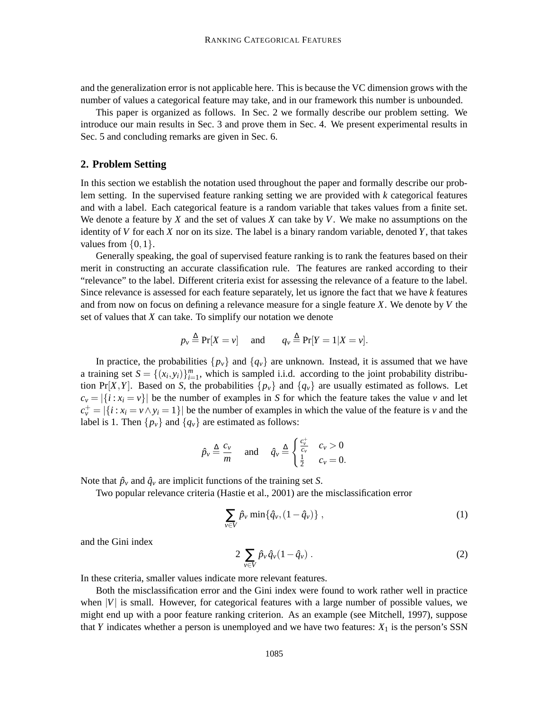and the generalization error is not applicable here. This is because the VC dimension grows with the number of values a categorical feature may take, and in our framework this number is unbounded.

This paper is organized as follows. In Sec. 2 we formally describe our problem setting. We introduce our main results in Sec. 3 and prove them in Sec. 4. We present experimental results in Sec. 5 and concluding remarks are given in Sec. 6.

### **2. Problem Setting**

In this section we establish the notation used throughout the paper and formally describe our problem setting. In the supervised feature ranking setting we are provided with *k* categorical features and with a label. Each categorical feature is a random variable that takes values from a finite set. We denote a feature by *X* and the set of values *X* can take by *V*. We make no assumptions on the identity of *V* for each *X* nor on its size. The label is a binary random variable, denoted *Y*, that takes values from  $\{0,1\}$ .

Generally speaking, the goal of supervised feature ranking is to rank the features based on their merit in constructing an accurate classification rule. The features are ranked according to their "relevance" to the label. Different criteria exist for assessing the relevance of a feature to the label. Since relevance is assessed for each feature separately, let us ignore the fact that we have *k* features and from now on focus on defining a relevance measure for a single feature *X*. We denote by *V* the set of values that *X* can take. To simplify our notation we denote

$$
p_v \stackrel{\Delta}{=} \Pr[X = v]
$$
 and  $q_v \stackrel{\Delta}{=} \Pr[Y = 1 | X = v].$ 

In practice, the probabilities  $\{p_v\}$  and  $\{q_v\}$  are unknown. Instead, it is assumed that we have a training set  $S = \{(x_i, y_i)\}_{i=1}^m$ , which is sampled i.i.d. according to the joint probability distribution Pr[*X*,*Y*]. Based on *S*, the probabilities  $\{p_v\}$  and  $\{q_v\}$  are usually estimated as follows. Let  $c_v = |\{i : x_i = v\}|$  be the number of examples in *S* for which the feature takes the value *v* and let  $c_v^+ = |\{i : x_i = v \wedge y_i = 1\}|$  be the number of examples in which the value of the feature is *v* and the label is 1. Then  $\{p_v\}$  and  $\{q_v\}$  are estimated as follows:

$$
\hat{p}_v \stackrel{\Delta}{=} \frac{c_v}{m} \quad \text{and} \quad \hat{q}_v \stackrel{\Delta}{=} \begin{cases} \frac{c_v^+}{c_v} & c_v > 0 \\ \frac{1}{2} & c_v = 0. \end{cases}
$$

Note that  $\hat{p}_v$  and  $\hat{q}_v$  are implicit functions of the training set *S*.

Two popular relevance criteria (Hastie et al., 2001) are the misclassification error

$$
\sum_{v \in V} \hat{p}_v \min\{\hat{q}_v, (1-\hat{q}_v)\},\tag{1}
$$

and the Gini index

$$
2\sum_{v\in V}\hat{p}_v\hat{q}_v(1-\hat{q}_v).
$$
 (2)

In these criteria, smaller values indicate more relevant features.

Both the misclassification error and the Gini index were found to work rather well in practice when  $|V|$  is small. However, for categorical features with a large number of possible values, we might end up with a poor feature ranking criterion. As an example (see Mitchell, 1997), suppose that *Y* indicates whether a person is unemployed and we have two features:  $X_1$  is the person's SSN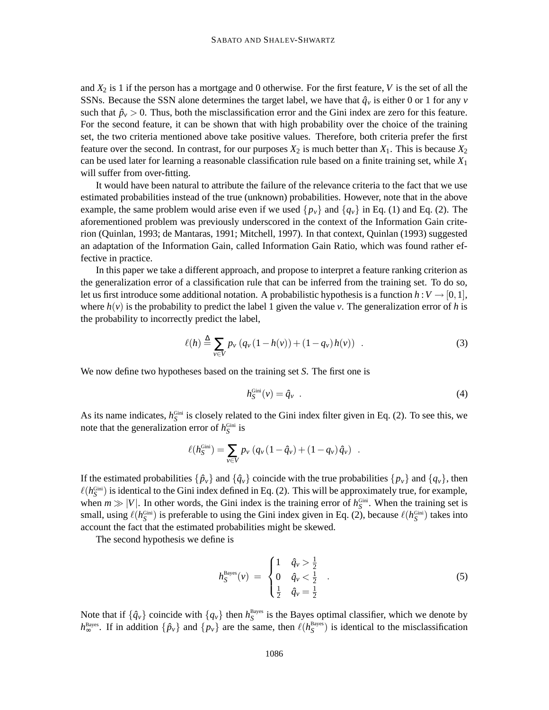and *X*<sup>2</sup> is 1 if the person has a mortgage and 0 otherwise. For the first feature, *V* is the set of all the SSNs. Because the SSN alone determines the target label, we have that  $\hat{q}_v$  is either 0 or 1 for any *v* such that  $\hat{p}_v > 0$ . Thus, both the misclassification error and the Gini index are zero for this feature. For the second feature, it can be shown that with high probability over the choice of the training set, the two criteria mentioned above take positive values. Therefore, both criteria prefer the first feature over the second. In contrast, for our purposes  $X_2$  is much better than  $X_1$ . This is because  $X_2$ can be used later for learning a reasonable classification rule based on a finite training set, while *X*<sup>1</sup> will suffer from over-fitting.

It would have been natural to attribute the failure of the relevance criteria to the fact that we use estimated probabilities instead of the true (unknown) probabilities. However, note that in the above example, the same problem would arise even if we used  $\{p_v\}$  and  $\{q_v\}$  in Eq. (1) and Eq. (2). The aforementioned problem was previously underscored in the context of the Information Gain criterion (Quinlan, 1993; de Mantaras, 1991; Mitchell, 1997). In that context, Quinlan (1993) suggested an adaptation of the Information Gain, called Information Gain Ratio, which was found rather effective in practice.

In this paper we take a different approach, and propose to interpret a feature ranking criterion as the generalization error of a classification rule that can be inferred from the training set. To do so, let us first introduce some additional notation. A probabilistic hypothesis is a function  $h: V \rightarrow [0,1]$ , where  $h(v)$  is the probability to predict the label 1 given the value *v*. The generalization error of h is the probability to incorrectly predict the label,

$$
\ell(h) \stackrel{\Delta}{=} \sum_{v \in V} p_v (q_v (1 - h(v)) + (1 - q_v) h(v)) . \tag{3}
$$

We now define two hypotheses based on the training set *S*. The first one is

$$
h_S^{\text{Gini}}(v) = \hat{q}_v \tag{4}
$$

As its name indicates,  $h_S^{\text{Gini}}$  is closely related to the Gini index filter given in Eq. (2). To see this, we note that the generalization error of  $h_S^{\text{Gini}}$  is

$$
\ell(h_S^{\text{Gini}}) = \sum_{v \in V} p_v (q_v (1 - \hat{q}_v) + (1 - q_v) \hat{q}_v) .
$$

If the estimated probabilities  $\{\hat{p}_v\}$  and  $\{\hat{q}_v\}$  coincide with the true probabilities  $\{p_v\}$  and  $\{q_v\}$ , then  $\ell(h_S^{\text{Gini}})$  is identical to the Gini index defined in Eq. (2). This will be approximately true, for example, when  $m \gg |V|$ . In other words, the Gini index is the training error of  $h_S^{\text{Gini}}$ . When the training set is small, using  $\ell(h_S^{\text{Gini}})$  is preferable to using the Gini index given in Eq. (2), because  $\ell(h_S^{\text{Gini}})$  takes into account the fact that the estimated probabilities might be skewed.

The second hypothesis we define is

$$
h_S^{\text{Bayes}}(v) = \begin{cases} 1 & \hat{q}_v > \frac{1}{2} \\ 0 & \hat{q}_v < \frac{1}{2} \\ \frac{1}{2} & \hat{q}_v = \frac{1}{2} \end{cases} \tag{5}
$$

Note that if  $\{\hat{q}_v\}$  coincide with  $\{q_v\}$  then  $h_S^{\text{Bayes}}$  is the Bayes optimal classifier, which we denote by  $h_{\infty}^{\text{Bayes}}$ . If in addition  $\{\hat{p}_v\}$  and  $\{p_v\}$  are the same, then  $\ell(h_S^{\text{Bayes}})$  is identical to the misclassification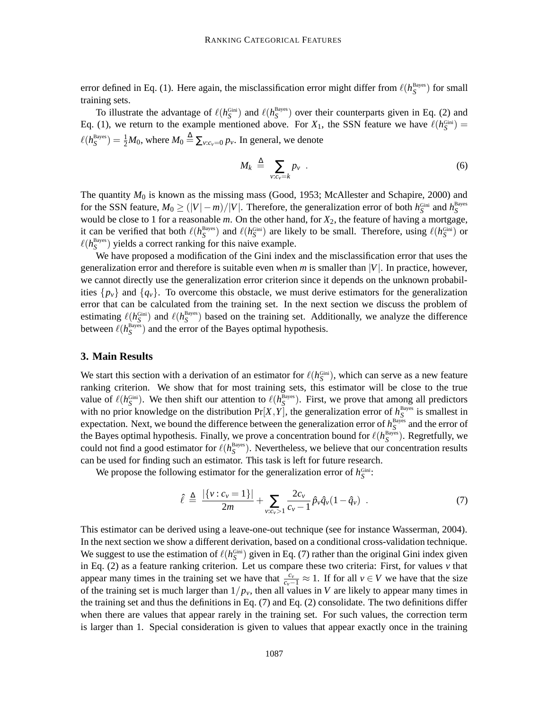error defined in Eq. (1). Here again, the misclassification error might differ from  $\ell(h_S^{\text{Bayes}})$  for small training sets.

To illustrate the advantage of  $\ell(h_S^{\text{Gini}})$  and  $\ell(h_S^{\text{Bayes}})$  over their counterparts given in Eq. (2) and Eq. (1), we return to the example mentioned above. For  $X_1$ , the SSN feature we have  $\ell(h_S^{\text{Gini}})$  =  $\ell(h_S^{\text{Bayes}}) = \frac{1}{2}M_0$ , where  $M_0 \triangleq \sum_{v:c_v=0} p_v$ . In general, we denote

$$
M_k \triangleq \sum_{v:c_v=k} p_v \quad . \tag{6}
$$

The quantity  $M_0$  is known as the missing mass (Good, 1953; McAllester and Schapire, 2000) and for the SSN feature,  $M_0 \ge (|V|-m)/|V|$ . Therefore, the generalization error of both  $h_S^{\text{Gini}}$  and  $h_S^{\text{Bayes}}$ would be close to 1 for a reasonable *m*. On the other hand, for *X*2, the feature of having a mortgage, it can be verified that both  $\ell(h_S^{\text{Bayes}})$  and  $\ell(h_S^{\text{Gini}})$  are likely to be small. Therefore, using  $\ell(h_S^{\text{Gini}})$  or  $\ell(h_S^{\text{Bayes}})$  yields a correct ranking for this naive example.

We have proposed a modification of the Gini index and the misclassification error that uses the generalization error and therefore is suitable even when *m* is smaller than |*V*|. In practice, however, we cannot directly use the generalization error criterion since it depends on the unknown probabilities  $\{p_v\}$  and  $\{q_v\}$ . To overcome this obstacle, we must derive estimators for the generalization error that can be calculated from the training set. In the next section we discuss the problem of estimating  $\ell(h_S^{\text{Gini}})$  and  $\ell(h_S^{\text{Bayes}})$  based on the training set. Additionally, we analyze the difference between  $\ell(h_S^{\text{Bayes}})$  and the error of the Bayes optimal hypothesis.

### **3. Main Results**

We start this section with a derivation of an estimator for  $\ell(h_S^{\text{Gini}})$ , which can serve as a new feature ranking criterion. We show that for most training sets, this estimator will be close to the true value of  $\ell(h_S^{\text{Gini}})$ . We then shift our attention to  $\ell(h_S^{\text{Bayes}})$ . First, we prove that among all predictors with no prior knowledge on the distribution  $Pr[X, Y]$ , the generalization error of  $h_S^{\text{Bayes}}$  is smallest in expectation. Next, we bound the difference between the generalization error of  $h_S^{\text{Bayes}}$  and the error of the Bayes optimal hypothesis. Finally, we prove a concentration bound for  $\ell(h_S^{\text{Bayes}})$ . Regretfully, we could not find a good estimator for  $\ell(h_S^{\text{Bayes}})$ . Nevertheless, we believe that our concentration results can be used for finding such an estimator. This task is left for future research.

We propose the following estimator for the generalization error of  $h_S^{\text{Gini}}$ :

$$
\hat{\ell} \triangleq \frac{|\{\nu : c_{\nu} = 1\}|}{2m} + \sum_{\nu : c_{\nu} > 1} \frac{2c_{\nu}}{c_{\nu} - 1} \hat{p}_{\nu} \hat{q}_{\nu} (1 - \hat{q}_{\nu}) \quad . \tag{7}
$$

This estimator can be derived using a leave-one-out technique (see for instance Wasserman, 2004). In the next section we show a different derivation, based on a conditional cross-validation technique. We suggest to use the estimation of  $\ell(h_{S}^{\text{Gini}})$  given in Eq. (7) rather than the original Gini index given in Eq. (2) as a feature ranking criterion. Let us compare these two criteria: First, for values *v* that appear many times in the training set we have that  $\frac{c_v}{c_v-1} \approx 1$ . If for all  $v \in V$  we have that the size of the training set is much larger than 1/*pv*, then all values in *V* are likely to appear many times in the training set and thus the definitions in Eq.  $(7)$  and Eq.  $(2)$  consolidate. The two definitions differ when there are values that appear rarely in the training set. For such values, the correction term is larger than 1. Special consideration is given to values that appear exactly once in the training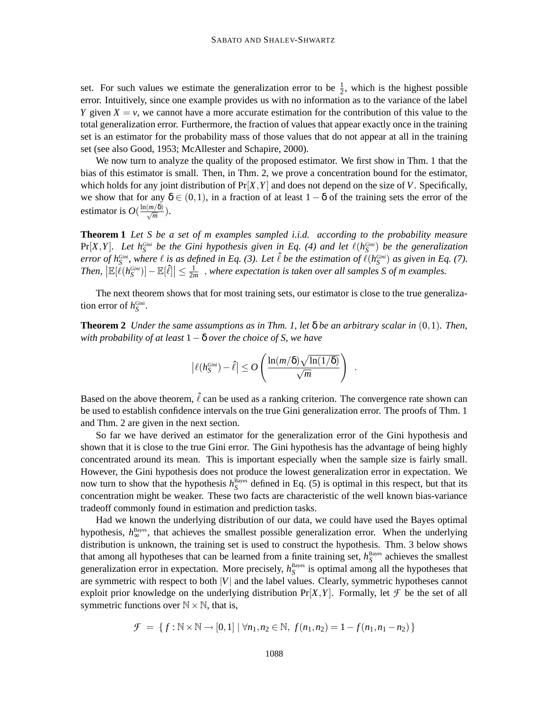set. For such values we estimate the generalization error to be  $\frac{1}{2}$ , which is the highest possible error. Intuitively, since one example provides us with no information as to the variance of the label *Y* given  $X = v$ , we cannot have a more accurate estimation for the contribution of this value to the total generalization error. Furthermore, the fraction of values that appear exactly once in the training set is an estimator for the probability mass of those values that do not appear at all in the training set (see also Good, 1953; McAllester and Schapire, 2000).

We now turn to analyze the quality of the proposed estimator. We first show in Thm. 1 that the bias of this estimator is small. Then, in Thm. 2, we prove a concentration bound for the estimator, which holds for any joint distribution of  $Pr[X, Y]$  and does not depend on the size of *V*. Specifically, we show that for any  $\delta \in (0,1)$ , in a fraction of at least  $1-\delta$  of the training sets the error of the estimator is  $O(\frac{\ln(m/\delta)}{\sqrt{m}})$ .

**Theorem 1** *Let S be a set of m examples sampled i.i.d. according to the probability measure*  $Pr[X, Y]$ . Let  $h_S^{Gini}$  be the Gini hypothesis given in Eq. (4) and let  $\ell(h_S^{Gini})$  be the generalization error of  $h_S^{Gini}$ , where  $\ell$  is as defined in Eq. (3). Let  $\hat{\ell}$  be the estimation of  $\ell(h_S^{Gini})$  as given in Eq. (7). *Then*,  $\left| \mathbb{E}[\ell(h_{S}^{Gini})] - \mathbb{E}[\ell] \right| \leq \frac{1}{2n}$  $\frac{1}{2m}$ , where expectation is taken over all samples S of *m* examples.

The next theorem shows that for most training sets, our estimator is close to the true generalization error of  $h_S^{\text{Gini}}$ .

**Theorem 2** *Under the same assumptions as in Thm. 1, let*  $\delta$  *be an arbitrary scalar in*  $(0,1)$ *. Then, with probability of at least* 1−δ *over the choice of S, we have*

$$
\left|\ell(h_S^{\text{Gini}}) - \hat{\ell}\right| \leq O\left(\frac{\ln(m/\delta)\sqrt{\ln(1/\delta)}}{\sqrt{m}}\right)
$$

.

Based on the above theorem,  $\hat{\ell}$  can be used as a ranking criterion. The convergence rate shown can be used to establish confidence intervals on the true Gini generalization error. The proofs of Thm. 1 and Thm. 2 are given in the next section.

So far we have derived an estimator for the generalization error of the Gini hypothesis and shown that it is close to the true Gini error. The Gini hypothesis has the advantage of being highly concentrated around its mean. This is important especially when the sample size is fairly small. However, the Gini hypothesis does not produce the lowest generalization error in expectation. We now turn to show that the hypothesis  $h_S^{\text{Bayes}}$  defined in Eq. (5) is optimal in this respect, but that its concentration might be weaker. These two facts are characteristic of the well known bias-variance tradeoff commonly found in estimation and prediction tasks.

Had we known the underlying distribution of our data, we could have used the Bayes optimal hypothesis,  $h_{\infty}^{\text{Bayes}}$ , that achieves the smallest possible generalization error. When the underlying distribution is unknown, the training set is used to construct the hypothesis. Thm. 3 below shows that among all hypotheses that can be learned from a finite training set,  $h_S^{\text{Bayes}}$  achieves the smallest generalization error in expectation. More precisely,  $h_S^{\text{Bayes}}$  is optimal among all the hypotheses that are symmetric with respect to both |*V*| and the label values. Clearly, symmetric hypotheses cannot exploit prior knowledge on the underlying distribution  $Pr[X, Y]$ . Formally, let  $\mathcal F$  be the set of all symmetric functions over  $\mathbb{N} \times \mathbb{N}$ , that is,

$$
\mathcal{F} = \{ f : \mathbb{N} \times \mathbb{N} \to [0,1] \mid \forall n_1, n_2 \in \mathbb{N}, f(n_1, n_2) = 1 - f(n_1, n_1 - n_2) \}
$$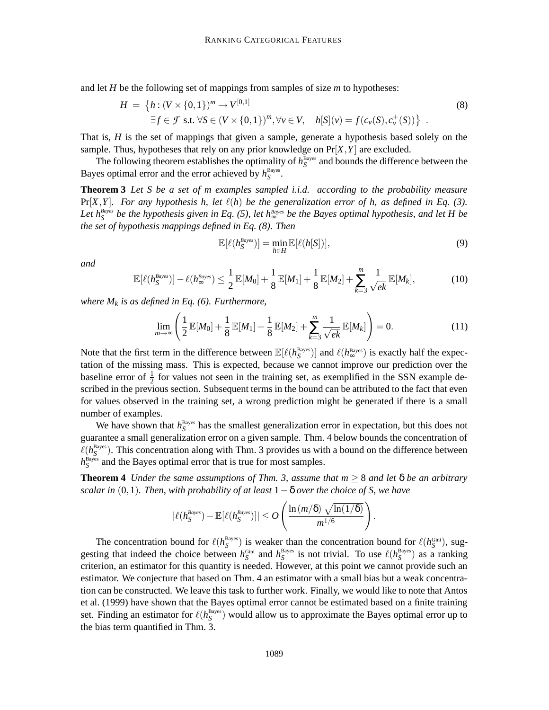and let *H* be the following set of mappings from samples of size *m* to hypotheses:

$$
H = \left\{ h : (V \times \{0,1\})^m \to V^{[0,1]} \mid \exists f \in \mathcal{F} \text{ s.t. } \forall S \in (V \times \{0,1\})^m, \forall v \in V, \quad h[S](v) = f(c_v(S), c_v^+(S)) \right\}.
$$
\n(8)

That is, *H* is the set of mappings that given a sample, generate a hypothesis based solely on the sample. Thus, hypotheses that rely on any prior knowledge on  $Pr[X, Y]$  are excluded.

The following theorem establishes the optimality of  $h_S^{\text{Bayes}}$  and bounds the difference between the Bayes optimal error and the error achieved by  $h_S^{\text{Bayes}}$ .

**Theorem 3** *Let S be a set of m examples sampled i.i.d. according to the probability measure*  $Pr[X, Y]$ . For any hypothesis h, let  $\ell(h)$  be the generalization error of h, as defined in Eq. (3). Let  $h_S^{Bayes}$  be the hypothesis given in Eq. (5), let  $h_{\infty}^{Bayes}$  be the Bayes optimal hypothesis, and let H be *the set of hypothesis mappings defined in Eq. (8). Then*

$$
\mathbb{E}[\ell(h_{S}^{Bayes})] = \min_{h \in H} \mathbb{E}[\ell(h[S])],\tag{9}
$$

.

*and*

$$
\mathbb{E}[\ell(h_\mathcal{S}^{Bayes})] - \ell(h_\infty^{Bayes}) \leq \frac{1}{2} \mathbb{E}[M_0] + \frac{1}{8} \mathbb{E}[M_1] + \frac{1}{8} \mathbb{E}[M_2] + \sum_{k=3}^m \frac{1}{\sqrt{ek}} \mathbb{E}[M_k],\tag{10}
$$

*where*  $M_k$  *is as defined in Eq.* (6). *Furthermore,* 

$$
\lim_{m \to \infty} \left( \frac{1}{2} \mathbb{E}[M_0] + \frac{1}{8} \mathbb{E}[M_1] + \frac{1}{8} \mathbb{E}[M_2] + \sum_{k=3}^{m} \frac{1}{\sqrt{ek}} \mathbb{E}[M_k] \right) = 0.
$$
 (11)

Note that the first term in the difference between  $\mathbb{E}[\ell(h_S^{\text{Bayes}})]$  and  $\ell(h_{\infty}^{\text{Bayes}})$  is exactly half the expectation of the missing mass. This is expected, because we cannot improve our prediction over the baseline error of  $\frac{1}{2}$  for values not seen in the training set, as exemplified in the SSN example described in the previous section. Subsequent terms in the bound can be attributed to the fact that even for values observed in the training set, a wrong prediction might be generated if there is a small number of examples.

We have shown that  $h_S^{\text{Bayes}}$  has the smallest generalization error in expectation, but this does not guarantee a small generalization error on a given sample. Thm. 4 below bounds the concentration of  $\ell(h_S^{\text{Bayes}})$ . This concentration along with Thm. 3 provides us with a bound on the difference between  $h_S^{\text{Bayes}}$  and the Bayes optimal error that is true for most samples.

**Theorem 4** *Under the same assumptions of Thm.* 3, *assume that*  $m \geq 8$  *and let*  $\delta$  *be an arbitrary scalar in* (0,1)*. Then, with probability of at least* 1−δ *over the choice of S, we have*

$$
|\ell(h_S^{Bayes}) - \mathbb{E}[\ell(h_S^{Bayes})]| \leq O\left(\frac{\ln(m/\delta) \sqrt{\ln(1/\delta)}}{m^{1/6}}\right)
$$

The concentration bound for  $\ell(h_S^{\text{Bayes}})$  is weaker than the concentration bound for  $\ell(h_S^{\text{Gini}})$ , suggesting that indeed the choice between  $h_S^{\text{Gini}}$  and  $h_S^{\text{Bayes}}$  is not trivial. To use  $\ell(h_S^{\text{Bayes}})$  as a ranking criterion, an estimator for this quantity is needed. However, at this point we cannot provide such an estimator. We conjecture that based on Thm. 4 an estimator with a small bias but a weak concentration can be constructed. We leave this task to further work. Finally, we would like to note that Antos et al. (1999) have shown that the Bayes optimal error cannot be estimated based on a finite training set. Finding an estimator for  $\ell(h^\text{Bayes}_S)$  would allow us to approximate the Bayes optimal error up to the bias term quantified in Thm. 3.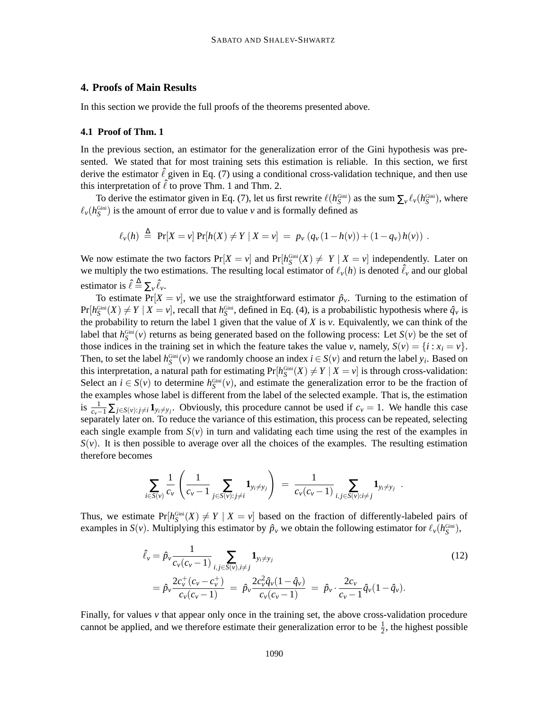### **4. Proofs of Main Results**

In this section we provide the full proofs of the theorems presented above.

#### **4.1 Proof of Thm. 1**

In the previous section, an estimator for the generalization error of the Gini hypothesis was presented. We stated that for most training sets this estimation is reliable. In this section, we first derive the estimator  $\hat{\ell}$  given in Eq. (7) using a conditional cross-validation technique, and then use this interpretation of  $\hat{\ell}$  to prove Thm. 1 and Thm. 2.

To derive the estimator given in Eq. (7), let us first rewrite  $\ell(h_S^{\text{Gini}})$  as the sum  $\sum_v \ell_v(h_S^{\text{Gini}})$ , where  $\ell_v(h_S^{\text{Gini}})$  is the amount of error due to value *v* and is formally defined as

$$
\ell_{\nu}(h) \triangleq \Pr[X = \nu] \Pr[h(X) \neq Y | X = \nu] = p_{\nu} (q_{\nu} (1 - h(\nu)) + (1 - q_{\nu}) h(\nu)) .
$$

We now estimate the two factors  $Pr[X = v]$  and  $Pr[h_S^{\text{Gini}}(X) \neq Y | X = v]$  independently. Later on we multiply the two estimations. The resulting local estimator of  $\ell_{\nu}(h)$  is denoted  $\hat{\ell}_{\nu}$  and our global estimator is  $\hat{\ell} \triangleq \sum_{v} \hat{\ell}_v$ .

To estimate Pr $[X = v]$ , we use the straightforward estimator  $\hat{p}_v$ . Turning to the estimation of  $Pr[h_S^{\text{Gini}}(X) \neq Y | X = v]$ , recall that  $h_S^{\text{Gini}}$ , defined in Eq. (4), is a probabilistic hypothesis where  $\hat{q}_v$  is the probability to return the label 1 given that the value of *X* is *v*. Equivalently, we can think of the label that  $h_S^{\text{Gini}}(v)$  returns as being generated based on the following process: Let  $S(v)$  be the set of those indices in the training set in which the feature takes the value *v*, namely,  $S(v) = \{i : x_i = v\}$ . Then, to set the label  $h_S^{\text{Gini}}(v)$  we randomly choose an index  $i \in S(v)$  and return the label  $y_i$ . Based on this interpretation, a natural path for estimating  $Pr[h_S^{\text{Gini}}(X) \neq Y | X = v]$  is through cross-validation: Select an  $i \in S(v)$  to determine  $h_S^{\text{Gini}}(v)$ , and estimate the generalization error to be the fraction of the examples whose label is different from the label of the selected example. That is, the estimation is  $\frac{1}{c_v-1} \sum_{j \in S(v): j \neq i} \mathbf{1}_{y_i \neq y_j}$ . Obviously, this procedure cannot be used if  $c_v = 1$ . We handle this case separately later on. To reduce the variance of this estimation, this process can be repeated, selecting each single example from  $S(v)$  in turn and validating each time using the rest of the examples in  $S(v)$ . It is then possible to average over all the choices of the examples. The resulting estimation therefore becomes

$$
\sum_{i \in S(v)} \frac{1}{c_v} \left( \frac{1}{c_v - 1} \sum_{j \in S(v): j \neq i} \mathbf{1}_{y_i \neq y_j} \right) \ = \ \frac{1}{c_v(c_v - 1)} \sum_{i,j \in S(v): i \neq j} \mathbf{1}_{y_i \neq y_j} \ \ .
$$

Thus, we estimate  $Pr[h_S^{\text{Gini}}(X) \neq Y | X = v]$  based on the fraction of differently-labeled pairs of examples in *S*(*v*). Multiplying this estimator by  $\hat{p}_v$  we obtain the following estimator for  $\ell_v(h_S^{\text{Gini}})$ ,

$$
\hat{\ell}_{\nu} = \hat{p}_{\nu} \frac{1}{c_{\nu}(c_{\nu} - 1)} \sum_{i,j \in S(\nu), i \neq j} \mathbf{1}_{y_i \neq y_j} \qquad (12)
$$
\n
$$
= \hat{p}_{\nu} \frac{2c_{\nu}^+(c_{\nu} - c_{\nu}^+)}{c_{\nu}(c_{\nu} - 1)} = \hat{p}_{\nu} \frac{2c_{\nu}^2 \hat{q}_{\nu} (1 - \hat{q}_{\nu})}{c_{\nu}(c_{\nu} - 1)} = \hat{p}_{\nu} \cdot \frac{2c_{\nu}}{c_{\nu} - 1} \hat{q}_{\nu} (1 - \hat{q}_{\nu}).
$$

Finally, for values *v* that appear only once in the training set, the above cross-validation procedure cannot be applied, and we therefore estimate their generalization error to be  $\frac{1}{2}$ , the highest possible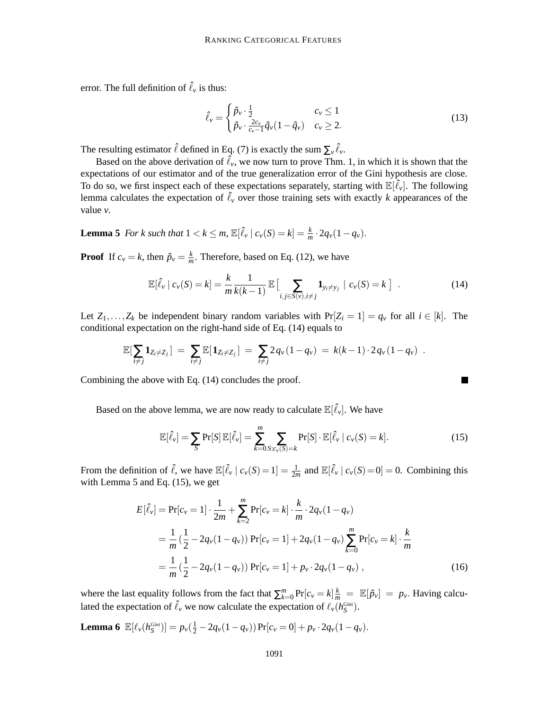error. The full definition of  $\hat{\ell}_v$  is thus:

$$
\hat{\ell}_{v} = \begin{cases} \hat{p}_{v} \cdot \frac{1}{2} & c_{v} \le 1 \\ \hat{p}_{v} \cdot \frac{2c_{v}}{c_{v}-1} \hat{q}_{v} (1-\hat{q}_{v}) & c_{v} \ge 2. \end{cases}
$$
(13)

The resulting estimator  $\hat{\ell}$  defined in Eq. (7) is exactly the sum  $\sum_{\nu} \hat{\ell}_{\nu}$ .

Based on the above derivation of  $\ell_v$ , we now turn to prove Thm. 1, in which it is shown that the expectations of our estimator and of the true generalization error of the Gini hypothesis are close. To do so, we first inspect each of these expectations separately, starting with  $\mathbb{E}[\hat{\ell}_v]$ . The following lemma calculates the expectation of  $\hat{\ell}_v$  over those training sets with exactly *k* appearances of the value *v*.

**Lemma 5** For *k* such that  $1 < k \le m$ ,  $\mathbb{E}[\hat{\ell}_v | c_v(S) = k] = \frac{k}{m}$  $\frac{k}{m} \cdot 2q_v(1-q_v).$ 

**Proof** If  $c_v = k$ , then  $\hat{p}_v = \frac{k}{m}$  $\frac{k}{m}$ . Therefore, based on Eq. (12), we have

$$
\mathbb{E}[\hat{\ell}_v \mid c_v(S) = k] = \frac{k}{m} \frac{1}{k(k-1)} \mathbb{E}\left[\sum_{i,j \in S(v), i \neq j} \mathbf{1}_{y_i \neq y_j} \mid c_v(S) = k\right]. \tag{14}
$$

Let  $Z_1, \ldots, Z_k$  be independent binary random variables with  $Pr[Z_i = 1] = q_v$  for all  $i \in [k]$ . The conditional expectation on the right-hand side of Eq. (14) equals to

$$
\mathbb{E}[\sum_{i \neq j} \mathbf{1}_{Z_i \neq Z_j}] = \sum_{i \neq j} \mathbb{E}[\mathbf{1}_{Z_i \neq Z_j}] = \sum_{i \neq j} 2 q_v (1 - q_v) = k(k-1) \cdot 2 q_v (1 - q_v) .
$$

Combining the above with Eq. (14) concludes the proof.

Based on the above lemma, we are now ready to calculate  $\mathbb{E}[\hat{\ell}_\nu].$  We have

$$
\mathbb{E}[\hat{\ell}_v] = \sum_{S} \Pr[S] \mathbb{E}[\hat{\ell}_v] = \sum_{k=0}^{m} \sum_{S:c_v(S)=k} \Pr[S] \cdot \mathbb{E}[\hat{\ell}_v | c_v(S) = k]. \tag{15}
$$

From the definition of  $\hat{\ell}$ , we have  $\mathbb{E}[\hat{\ell}_v | c_v(S) = 1] = \frac{1}{2n}$  $\frac{1}{2m}$  and  $\mathbb{E}[\hat{\ell}_v | c_v(S) = 0] = 0$ . Combining this with Lemma 5 and Eq. (15), we get

$$
E[\hat{\ell}_v] = \Pr[c_v = 1] \cdot \frac{1}{2m} + \sum_{k=2}^m \Pr[c_v = k] \cdot \frac{k}{m} \cdot 2q_v (1 - q_v)
$$
  
=  $\frac{1}{m} (\frac{1}{2} - 2q_v (1 - q_v)) \Pr[c_v = 1] + 2q_v (1 - q_v) \sum_{k=0}^m \Pr[c_v = k] \cdot \frac{k}{m}$   
=  $\frac{1}{m} (\frac{1}{2} - 2q_v (1 - q_v)) \Pr[c_v = 1] + p_v \cdot 2q_v (1 - q_v)$ , (16)

where the last equality follows from the fact that  $\sum_{k=0}^{m} Pr[c_{v} = k] \frac{k}{m} = \mathbb{E}[\hat{p}_{v}] = p_{v}$ . Having calculated the expectation of  $\hat{\ell}_v$  we now calculate the expectation of  $\ell_v(h_S^{\text{Gini}})$ .

**Lemma 6**  $\mathbb{E}[\ell_v(h_S^{Gini})] = p_v(\frac{1}{2} - 2q_v(1-q_v))\Pr[c_v = 0] + p_v \cdot 2q_v(1-q_v).$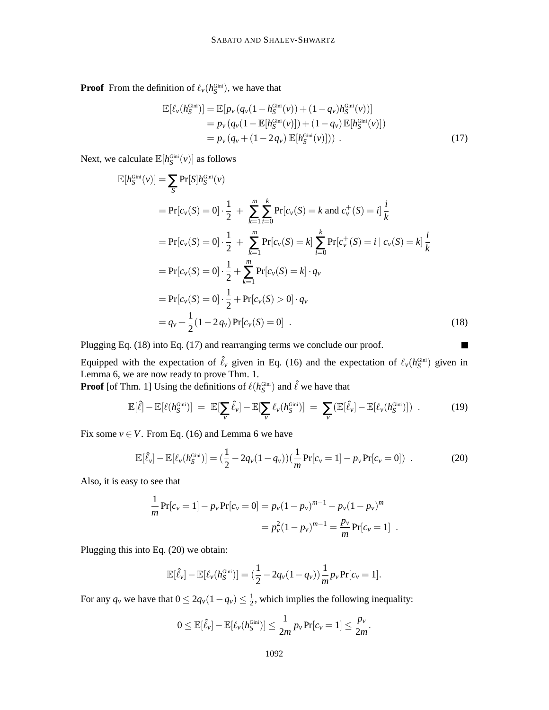**Proof** From the definition of  $\ell_v(h_{\mathcal{S}}^{\text{Gini}})$ , we have that

$$
\mathbb{E}[\ell_v(h_S^{\text{Gini}})] = \mathbb{E}[p_v(q_v(1 - h_S^{\text{Gini}}(v)) + (1 - q_v)h_S^{\text{Gini}}(v))]
$$
  
=  $p_v(q_v(1 - \mathbb{E}[h_S^{\text{Gini}}(v)]) + (1 - q_v) \mathbb{E}[h_S^{\text{Gini}}(v)])$   
=  $p_v(q_v + (1 - 2q_v) \mathbb{E}[h_S^{\text{Gini}}(v)]$ ). (17)

Next, we calculate  $\mathbb{E}[h_S^{\text{Gini}}(v)]$  as follows

$$
\mathbb{E}[h_S^{\text{Gini}}(v)] = \sum_{S} \Pr[S]h_S^{\text{Gini}}(v)
$$
  
\n
$$
= \Pr[c_v(S) = 0] \cdot \frac{1}{2} + \sum_{k=1}^{m} \sum_{i=0}^{k} \Pr[c_v(S) = k \text{ and } c_v^+(S) = i] \frac{i}{k}
$$
  
\n
$$
= \Pr[c_v(S) = 0] \cdot \frac{1}{2} + \sum_{k=1}^{m} \Pr[c_v(S) = k] \sum_{i=0}^{k} \Pr[c_v^+(S) = i | c_v(S) = k] \frac{i}{k}
$$
  
\n
$$
= \Pr[c_v(S) = 0] \cdot \frac{1}{2} + \sum_{k=1}^{m} \Pr[c_v(S) = k] \cdot q_v
$$
  
\n
$$
= \Pr[c_v(S) = 0] \cdot \frac{1}{2} + \Pr[c_v(S) > 0] \cdot q_v
$$
  
\n
$$
= q_v + \frac{1}{2} (1 - 2 q_v) \Pr[c_v(S) = 0] .
$$
\n(18)

Plugging Eq. (18) into Eq. (17) and rearranging terms we conclude our proof.

Equipped with the expectation of  $\hat{\ell}_v$  given in Eq. (16) and the expectation of  $\ell_v(h^{\text{Gini}}_S)$  given in Lemma 6, we are now ready to prove Thm. 1.

**Proof** [of Thm. 1] Using the definitions of  $\ell(h_S^{\text{Gini}})$  and  $\hat{\ell}$  we have that

$$
\mathbb{E}[\hat{\ell}] - \mathbb{E}[\ell(h_S^{\text{Gini}})] = \mathbb{E}[\sum_{\nu} \hat{\ell}_{\nu}] - \mathbb{E}[\sum_{\nu} \ell_{\nu}(h_S^{\text{Gini}})] = \sum_{\nu} (\mathbb{E}[\hat{\ell}_{\nu}] - \mathbb{E}[\ell_{\nu}(h_S^{\text{Gini}})])
$$
 (19)

 $\blacksquare$ 

Fix some  $v \in V$ . From Eq. (16) and Lemma 6 we have

$$
\mathbb{E}[\hat{\ell}_v] - \mathbb{E}[\ell_v(h_S^{\text{Gini}})] = (\frac{1}{2} - 2q_v(1 - q_v))(\frac{1}{m}\Pr[c_v = 1] - p_v\Pr[c_v = 0]) \tag{20}
$$

Also, it is easy to see that

$$
\frac{1}{m}\Pr[c_{\nu} = 1] - p_{\nu}\Pr[c_{\nu} = 0] = p_{\nu}(1 - p_{\nu})^{m-1} - p_{\nu}(1 - p_{\nu})^m
$$

$$
= p_{\nu}^2(1 - p_{\nu})^{m-1} = \frac{p_{\nu}}{m}\Pr[c_{\nu} = 1] .
$$

Plugging this into Eq. (20) we obtain:

$$
\mathbb{E}[\hat{\ell}_{\nu}] - \mathbb{E}[\ell_{\nu}(h_{S}^{\text{Gini}})] = (\frac{1}{2} - 2q_{\nu}(1 - q_{\nu}))\frac{1}{m}p_{\nu}\Pr[c_{\nu} = 1].
$$

For any  $q_v$  we have that  $0 \le 2q_v(1-q_v) \le \frac{1}{2}$  $\frac{1}{2}$ , which implies the following inequality:

$$
0 \leq \mathbb{E}[\hat{\ell}_v] - \mathbb{E}[\ell_v(h^\mathrm{Gini}_S)] \leq \frac{1}{2m} p_v \Pr[c_v = 1] \leq \frac{p_v}{2m}.
$$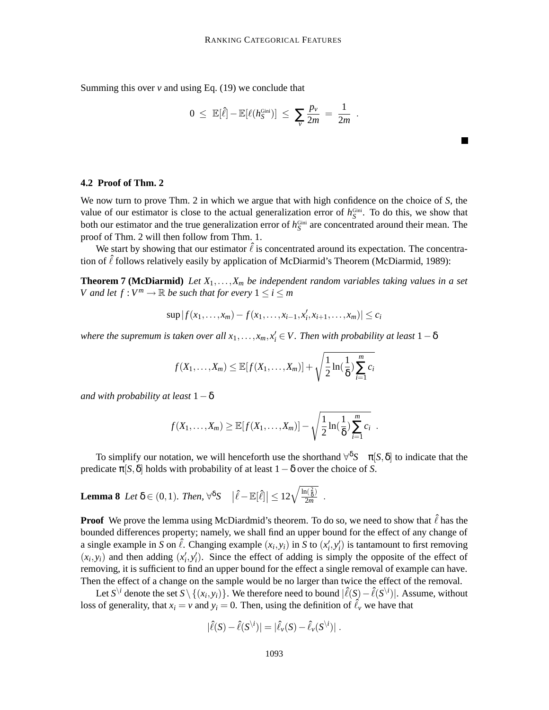Summing this over  $\nu$  and using Eq. (19) we conclude that

$$
0 \leq \mathbb{E}[\hat{\ell}] - \mathbb{E}[\ell(h_{S}^{\text{Gini}})] \leq \sum_{v} \frac{p_{v}}{2m} = \frac{1}{2m}.
$$

### **4.2 Proof of Thm. 2**

We now turn to prove Thm. 2 in which we argue that with high confidence on the choice of *S*, the value of our estimator is close to the actual generalization error of  $h_S^{\text{Gini}}$ . To do this, we show that both our estimator and the true generalization error of  $h_S^{\text{Gini}}$  are concentrated around their mean. The proof of Thm. 2 will then follow from Thm. 1.

We start by showing that our estimator  $\ell$  is concentrated around its expectation. The concentration of  $\hat{\ell}$  follows relatively easily by application of McDiarmid's Theorem (McDiarmid, 1989):

**Theorem 7** (McDiarmid) Let  $X_1, \ldots, X_m$  be independent random variables taking values in a set *V* and let  $f: V^m \to \mathbb{R}$  be such that for every  $1 \leq i \leq m$ 

$$
\sup |f(x_1,...,x_m)-f(x_1,...,x_{i-1},x'_i,x_{i+1},...,x_m)| \leq c_i
$$

 $i$  *k o where the supremum is taken over all*  $x_1, \ldots, x_m, x'_i \in V$ . Then with probability at least  $1 - \delta$ 

$$
f(X_1,\ldots,X_m) \leq \mathbb{E}[f(X_1,\ldots,X_m)] + \sqrt{\frac{1}{2}\ln(\frac{1}{\delta})\sum_{i=1}^m c_i}
$$

*and* with *probability at least*  $1-\delta$ 

$$
f(X_1,...,X_m) \geq \mathbb{E}[f(X_1,...,X_m)] - \sqrt{\frac{1}{2}\ln(\frac{1}{\delta})\sum_{i=1}^m c_i}
$$
.

To simplify our notation, we will henceforth use the shorthand  $\forall^{\delta}S \quad \pi[S, \delta]$  to indicate that the predicate  $\pi[S, \delta]$  holds with probability of at least  $1-\delta$  over the choice of *S*.

**Lemma 8** Let 
$$
\delta \in (0,1)
$$
. Then,  $\forall^{\delta} S \quad |\hat{\ell} - \mathbb{E}[\hat{\ell}]| \leq 12\sqrt{\frac{\ln(\frac{2}{\delta})}{2m}}$ .

**Proof** We prove the lemma using McDiardmid's theorem. To do so, we need to show that  $\hat{\ell}$  has the bounded differences property; namely, we shall find an upper bound for the effect of any change of a single example in *S* on  $\hat{\ell}$ . Changing example  $(x_i, y_i)$  in *S* to  $(x'_i, y'_i)$  is tantamount to first removing  $(x_i, y_i)$  and then adding  $(x'_i, y'_i)$ . Since the effect of adding is simply the opposite of the effect of removing, it is sufficient to find an upper bound for the effect a single removal of example can have. Then the effect of a change on the sample would be no larger than twice the effect of the removal.

Let  $S^{\setminus i}$  denote the set  $S \setminus \{(x_i, y_i)\}$ . We therefore need to bound  $|\hat{\ell}(S) - \hat{\ell}(S^{\setminus i})|$ . Assume, without loss of generality, that  $x_i = v$  and  $y_i = 0$ . Then, using the definition of  $\hat{\ell}_v$  we have that

$$
|\hat{\ell}(S) - \hat{\ell}(S^{\setminus i})| = |\hat{\ell}_{\nu}(S) - \hat{\ell}_{\nu}(S^{\setminus i})|.
$$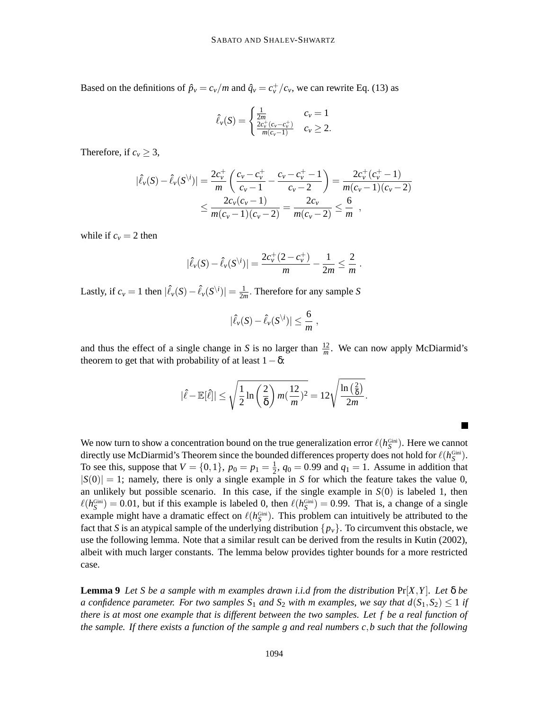Based on the definitions of  $\hat{p}_v = c_v/m$  and  $\hat{q}_v = c_v^+/c_v$ , we can rewrite Eq. (13) as

$$
\hat{\ell}_{\nu}(S) = \begin{cases} \frac{1}{2m} & c_{\nu} = 1\\ \frac{2c_{\nu}^{+}(c_{\nu} - c_{\nu}^{+})}{m(c_{\nu} - 1)} & c_{\nu} \geq 2. \end{cases}
$$

Therefore, if  $c_v \geq 3$ ,

$$
|\hat{\ell}_{\nu}(S) - \hat{\ell}_{\nu}(S^{\backslash i})| = \frac{2c_{\nu}^{+}}{m} \left( \frac{c_{\nu} - c_{\nu}^{+}}{c_{\nu} - 1} - \frac{c_{\nu} - c_{\nu}^{+} - 1}{c_{\nu} - 2} \right) = \frac{2c_{\nu}^{+}(c_{\nu}^{+} - 1)}{m(c_{\nu} - 1)(c_{\nu} - 2)} \le \frac{2c_{\nu}(c_{\nu} - 1)}{m(c_{\nu} - 1)(c_{\nu} - 2)} = \frac{2c_{\nu}}{m(c_{\nu} - 2)} \le \frac{6}{m},
$$

while if  $c_v = 2$  then

$$
|\hat{\ell}_{\nu}(S) - \hat{\ell}_{\nu}(S^{\setminus i})| = \frac{2c_{\nu}^{+}(2-c_{\nu}^{+})}{m} - \frac{1}{2m} \leq \frac{2}{m}.
$$

Lastly, if  $c_v = 1$  then  $|\hat{\ell}_v(S) - \hat{\ell}_v(S^{\backslash i})| = \frac{1}{2\pi}$  $\frac{1}{2m}$ . Therefore for any sample *S* 

$$
|\hat{\ell}_\nu(S)-\hat{\ell}_\nu(S^{\setminus i})|\leq \frac{6}{m},
$$

and thus the effect of a single change in *S* is no larger than  $\frac{12}{m}$ . We can now apply McDiarmid's theorem to get that with probability of at least  $1-\delta$ :

$$
|\hat{\ell} - \mathbb{E}[\hat{\ell}]| \leq \sqrt{\frac{1}{2} \ln\left(\frac{2}{\delta}\right) m(\frac{12}{m})^2} = 12\sqrt{\frac{\ln\left(\frac{2}{\delta}\right)}{2m}}.
$$

 $\blacksquare$ 

We now turn to show a concentration bound on the true generalization error  $\ell(h_S^{\text{Gini}})$ . Here we cannot directly use McDiarmid's Theorem since the bounded differences property does not hold for  $\ell(h^{\text{Gini}}_S)$ . To see this, suppose that  $V = \{0, 1\}$ ,  $p_0 = p_1 = \frac{1}{2}$  $\frac{1}{2}$ ,  $q_0 = 0.99$  and  $q_1 = 1$ . Assume in addition that  $|S(0)| = 1$ ; namely, there is only a single example in *S* for which the feature takes the value 0, an unlikely but possible scenario. In this case, if the single example in *S*(0) is labeled 1, then  $\ell(h_S^{\text{Gini}}) = 0.01$ , but if this example is labeled 0, then  $\ell(h_S^{\text{Gini}}) = 0.99$ . That is, a change of a single example might have a dramatic effect on  $\ell(h_S^{\text{Gini}})$ . This problem can intuitively be attributed to the fact that *S* is an atypical sample of the underlying distribution  $\{p_v\}$ . To circumvent this obstacle, we use the following lemma. Note that a similar result can be derived from the results in Kutin (2002), albeit with much larger constants. The lemma below provides tighter bounds for a more restricted case.

**Lemma 9** Let S be a sample with m examples drawn i.i.d from the distribution  $Pr[X, Y]$ . Let  $\delta$  be a confidence parameter. For two samples  $S_1$  and  $S_2$  with m examples, we say that  $d(S_1, S_2) \leq 1$  if there is at most one example that is different between the two samples. Let  $f$  be a real function of the sample. If there exists a function of the sample g and real numbers  $c, b$  such that the following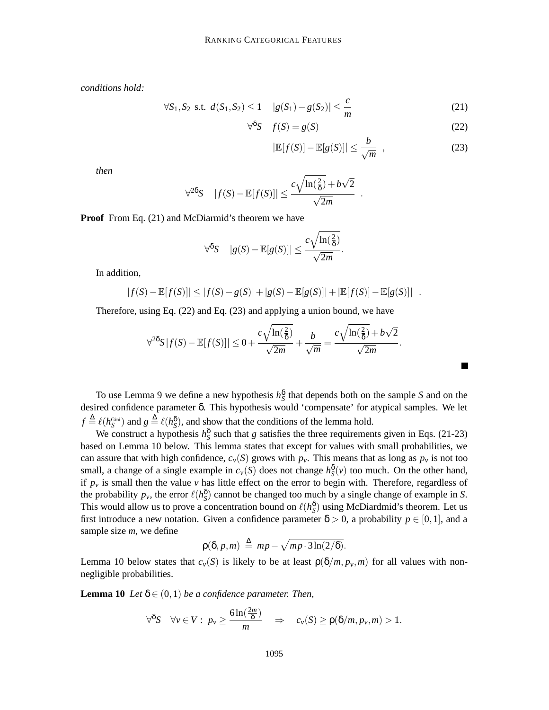*conditions hold:*

$$
\forall S_1, S_2 \text{ s.t. } d(S_1, S_2) \le 1 \quad |g(S_1) - g(S_2)| \le \frac{c}{m} \tag{21}
$$

$$
\forall^{\delta} S \quad f(S) = g(S) \tag{22}
$$

$$
|\mathbb{E}[f(S)] - \mathbb{E}[g(S)]| \le \frac{b}{\sqrt{m}} \quad , \tag{23}
$$

▅

*then*

$$
\forall^{2\delta} S \quad |f(S) - \mathbb{E}[f(S)]| \leq \frac{c\sqrt{\ln(\frac{2}{\delta})} + b\sqrt{2}}{\sqrt{2m}}.
$$

**Proof** From Eq. (21) and McDiarmid's theorem we have

$$
\forall^{\delta} S \quad |g(S) - \mathbb{E}[g(S)]| \leq \frac{c\sqrt{\ln(\frac{2}{\delta})}}{\sqrt{2m}}.
$$

In addition,

$$
|f(S) - \mathbb{E}[f(S)]| \le |f(S) - g(S)| + |g(S) - \mathbb{E}[g(S)]| + |\mathbb{E}[f(S)] - \mathbb{E}[g(S)]|.
$$

Therefore, using Eq. (22) and Eq. (23) and applying a union bound, we have

$$
\forall^{2\delta} S |f(S) - \mathbb{E}[f(S)]| \leq 0 + \frac{c\sqrt{\ln(\frac{2}{\delta})}}{\sqrt{2m}} + \frac{b}{\sqrt{m}} = \frac{c\sqrt{\ln(\frac{2}{\delta})} + b\sqrt{2}}{\sqrt{2m}}.
$$

To use Lemma 9 we define a new hypothesis  $h_S^{\delta}$  that depends both on the sample *S* and on the desired confidence parameter δ. This hypothesis would 'compensate' for atypical samples. We let  $f \triangleq \ell(h_S^{\text{Gini}})$  and  $g \triangleq \ell(h_S^{\delta})$ , and show that the conditions of the lemma hold.

We construct a hypothesis  $h_S^{\delta}$  such that *g* satisfies the three requirements given in Eqs. (21-23) based on Lemma 10 below. This lemma states that except for values with small probabilities, we can assure that with high confidence,  $c_v(S)$  grows with  $p_v$ . This means that as long as  $p_v$  is not too small, a change of a single example in  $c_v(S)$  does not change  $h_S^{\delta}(v)$  too much. On the other hand, if  $p_\nu$  is small then the value  $\nu$  has little effect on the error to begin with. Therefore, regardless of the probability  $p_v$ , the error  $\ell(h_{\rm S}^{\delta})$  cannot be changed too much by a single change of example in *S*. This would allow us to prove a concentration bound on  $\ell(h_{S}^{\delta})$  using McDiardmid's theorem. Let us first introduce a new notation. Given a confidence parameter  $\delta > 0$ , a probability  $p \in [0,1]$ , and a sample size *m*, we define

$$
\rho(\delta, p, m) \stackrel{\Delta}{=} mp - \sqrt{mp \cdot 3\ln(2/\delta)}.
$$

Lemma 10 below states that  $c_v(S)$  is likely to be at least  $\rho(\delta/m, p_v, m)$  for all values with nonnegligible probabilities.

**Lemma 10** *Let*  $\delta \in (0,1)$  *be a confidence parameter. Then,* 

$$
\forall^{\delta} S \quad \forall v \in V: \ p_v \geq \frac{6\ln(\frac{2m}{\delta})}{m} \quad \Rightarrow \quad c_v(S) \geq \rho(\delta/m, p_v, m) > 1.
$$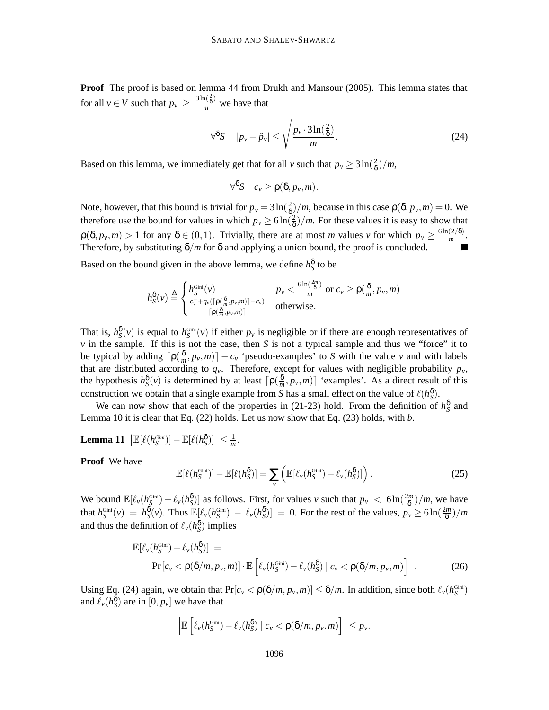**Proof** The proof is based on lemma 44 from Drukh and Mansour (2005). This lemma states that for all  $v \in V$  such that  $p_v \ge \frac{3 \ln(\frac{2}{\delta})}{m}$  we have that

$$
\forall^{\delta} S \quad |p_{\nu} - \hat{p}_{\nu}| \le \sqrt{\frac{p_{\nu} \cdot 3\ln(\frac{2}{\delta})}{m}}.
$$
 (24)

Based on this lemma, we immediately get that for all *v* such that  $p_v \ge 3 \ln(\frac{2}{\delta})$  $\frac{2}{\delta})/m,$ 

$$
\forall^{\delta} S \quad c_{\nu} \geq \rho(\delta, p_{\nu}, m).
$$

Note, however, that this bound is trivial for  $p_v = 3 \ln(\frac{2}{\delta})$  $\frac{2}{\delta}$ /*m*, because in this case  $\rho(\delta, p_v, m) = 0$ . We therefore use the bound for values in which  $p_v \ge 6 \ln(\frac{2}{\delta})$  $\frac{2}{\delta}$ )/*m*. For these values it is easy to show that  $\rho(\delta, p_v, m) > 1$  for any  $\delta \in (0, 1)$ . Trivially, there are at most *m* values *v* for which  $p_v \ge \frac{6\ln(2/\delta)}{m}$  $\frac{(2/9)}{m}$ . Therefore, by substituting  $\delta/m$  for  $\delta$  and applying a union bound, the proof is concluded.

Based on the bound given in the above lemma, we define  $h_S^{\delta}$  to be

$$
h_{S}^{\delta}(v) \stackrel{\Delta}{=} \n\begin{cases} h_{S}^{\text{Gini}}(v) & p_{v} < \frac{6\ln\left(\frac{2m}{\delta}\right)}{m} \text{ or } c_{v} \geq p\left(\frac{\delta}{m}, p_{v}, m\right) \\ \frac{c_{v}^{+} + q_{v}\left(\left[\rho\left(\frac{\delta}{m}, p_{v}, m\right)\right] - c_{v}\right)}{\left[\rho\left(\frac{\delta}{m}, p_{v}, m\right)\right]} & \text{otherwise.} \n\end{cases}
$$

That is,  $h_S^{\delta}(v)$  is equal to  $h_S^{\delta(i)}(v)$  if either  $p_v$  is negligible or if there are enough representatives of *v* in the sample. If this is not the case, then *S* is not a typical sample and thus we "force" it to be typical by adding  $\lceil \rho(\frac{\delta}{m}) \rceil$  $\left[\frac{\delta}{m}, p_v, m\right]$  −  $c_v$  'pseudo-examples' to *S* with the value *v* and with labels that are distributed according to  $q<sub>y</sub>$ . Therefore, except for values with negligible probability  $p<sub>y</sub>$ , the hypothesis  $h_S^{\delta}(v)$  is determined by at least  $\lceil \rho(\frac{\delta}{m}\rceil)$  $\left[\frac{\delta}{m}, p_v, m\right]$  'examples'. As a direct result of this construction we obtain that a single example from *S* has a small effect on the value of  $\ell(h_{\rm S}^{\delta})$ .

We can now show that each of the properties in (21-23) hold. From the definition of  $h_S^{\delta}$  and Lemma 10 it is clear that Eq. (22) holds. Let us now show that Eq. (23) holds, with *b*.

**Lemma 11** 
$$
|\mathbb{E}[\ell(h_{S}^{Gini})] - \mathbb{E}[\ell(h_{S}^{8})]| \leq \frac{1}{m}.
$$

**Proof** We have

$$
\mathbb{E}[\ell(h_S^{\text{Gini}})] - \mathbb{E}[\ell(h_S^{\delta})] = \sum_{\nu} \left( \mathbb{E}[\ell_{\nu}(h_S^{\text{Gini}}) - \ell_{\nu}(h_S^{\delta})] \right). \tag{25}
$$

We bound  $\mathbb{E}[\ell_v(h_{\mathcal{S}}^{\text{Gini}}) - \ell_v(h_{\mathcal{S}}^{\delta})]$  as follows. First, for values *v* such that  $p_v < 6\ln(\frac{2m}{\delta})$  $\frac{2m}{\delta}$ )/*m*, we have that  $h_S^{\text{Gini}}(v) = h_S^{\delta}(v)$ . Thus  $\mathbb{E}[\ell_v(h_S^{\text{Gini}}) - \ell_v(h_S^{\delta})] = 0$ . For the rest of the values,  $p_v \ge 6\ln(\frac{2m}{\delta})$ δ )/*m* and thus the definition of  $\ell_v(h_{\rm S}^{\delta})$  implies

$$
\mathbb{E}[\ell_v(h_S^{\text{Gini}}) - \ell_v(h_S^{\delta})] =
$$
  
\n
$$
\Pr[c_v < \rho(\delta/m, p_v, m)] \cdot \mathbb{E}\left[\ell_v(h_S^{\text{Gini}}) - \ell_v(h_S^{\delta}) \mid c_v < \rho(\delta/m, p_v, m)\right].
$$
 (26)

Using Eq. (24) again, we obtain that  $Pr[c_v < \rho(\delta/m, p_v, m)] \leq \delta/m$ . In addition, since both  $\ell_v(h^{\text{Gini}}_S)$ and  $\ell_v(h_{\mathcal{S}}^{\delta})$  are in  $[0, p_v]$  we have that

$$
\left|\mathbb{E}\left[\ell_v(h_{S}^{\text{Gini}})-\ell_v(h_{S}^{\delta})\mid c_v < \rho(\delta/m, p_v,m)\right]\right|\leq p_v.
$$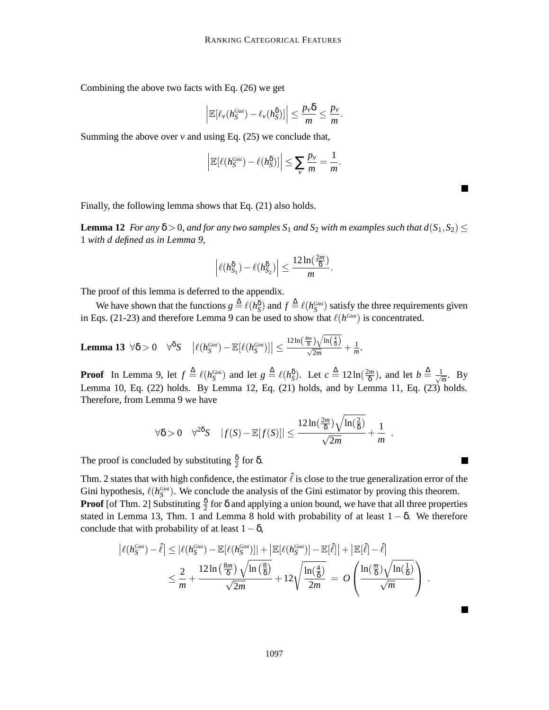Combining the above two facts with Eq. (26) we get

$$
\left|\mathbb{E}[\ell_v(h_S^{\text{Gini}})-\ell_v(h_S^{\delta})]\right|\leq \frac{p_v\delta}{m}\leq \frac{p_v}{m}.
$$

Summing the above over  $v$  and using Eq. (25) we conclude that,

$$
\left|\mathbb{E}[\ell(h_{S}^{\text{Gini}})-\ell(h_{S}^{\delta})]\right|\leq \sum_{v}\frac{p_{v}}{m}=\frac{1}{m}.
$$

▅

 $\blacksquare$ 

Finally, the following lemma shows that Eq. (21) also holds.

**Lemma 12** For any  $\delta > 0$ , and for any two samples  $S_1$  and  $S_2$  with m examples such that  $d(S_1, S_2)$ 1 *with d defined as in Lemma 9,*

$$
\left|\ell(h_{S_1}^{\delta})-\ell(h_{S_2}^{\delta})\right|\leq \frac{12\ln(\frac{2m}{\delta})}{m}.
$$

The proof of this lemma is deferred to the appendix.

We have shown that the functions  $g \triangleq \ell(h_S^S)$  and  $f \triangleq \ell(h_S^{\text{Gini}})$  satisfy the three requirements given in Eqs. (21-23) and therefore Lemma 9 can be used to show that  $\ell(h^{\text{Gini}})$  is concentrated.

**Lemma 13**  $\forall \delta > 0$   $\forall^{\delta}S$   $| \ell(h_S^{Gini}) - \mathbb{E}[\ell(h_S^{Gini})]| \leq$  $\frac{12\ln\left(\frac{4m}{\delta}\right)\sqrt{\ln\left(\frac{4}{\delta}\right)}}{\sqrt{2m}}+\frac{1}{m}$ *m .*

**Proof** In Lemma 9, let  $f \triangleq \ell(h_S^{\text{Gini}})$  and let  $g \triangleq \ell(h_S^{\delta})$ . Let  $c \triangleq 12 \ln(\frac{2m}{\delta})$  $(\frac{km}{\delta})$ , and let  $b \stackrel{\Delta}{=} \frac{1}{\sqrt{t}}$  $\frac{1}{m}$ . By Lemma 10, Eq. (22) holds. By Lemma 12, Eq. (21) holds, and by Lemma 11, Eq. (23) holds. Therefore, from Lemma 9 we have

$$
\forall \delta > 0 \quad \forall^{2\delta} S \quad |f(S) - \mathbb{E}[f(S)]| \le \frac{12 \ln(\frac{2m}{\delta}) \sqrt{\ln(\frac{2}{\delta})}}{\sqrt{2m}} + \frac{1}{m}.
$$

The proof is concluded by substituting  $\frac{\delta}{2}$  for  $\delta$ .

Thm. 2 states that with high confidence, the estimator  $\hat{\ell}$  is close to the true generalization error of the Gini hypothesis,  $\ell(h_{\mathcal{S}}^{\text{Gini}})$ . We conclude the analysis of the Gini estimator by proving this theorem. **Proof** [of Thm. 2] Substituting  $\frac{\delta}{2}$  for  $\delta$  and applying a union bound, we have that all three properties stated in Lemma 13, Thm. 1 and Lemma 8 hold with probability of at least  $1 - \delta$ . We therefore conclude that with probability of at least  $1-\delta$ ,

$$
\left| \ell(h_S^{\text{Gini}}) - \hat{\ell} \right| \leq \left| \ell(h_S^{\text{Gini}}) - \mathbb{E}[\ell(h_S^{\text{Gini}})] \right| + \left| \mathbb{E}[\ell(h_S^{\text{Gini}})] - \mathbb{E}[\hat{\ell}] \right| + \left| \mathbb{E}[\hat{\ell}] - \hat{\ell} \right|
$$
  

$$
\leq \frac{2}{m} + \frac{12 \ln \left( \frac{8m}{\delta} \right) \sqrt{\ln \left( \frac{8}{\delta} \right)}}{\sqrt{2m}} + 12 \sqrt{\frac{\ln \left( \frac{4}{\delta} \right)}{2m}} = O\left(\frac{\ln \left( \frac{m}{\delta} \right) \sqrt{\ln \left( \frac{1}{\delta} \right)}}{\sqrt{m}} \right).
$$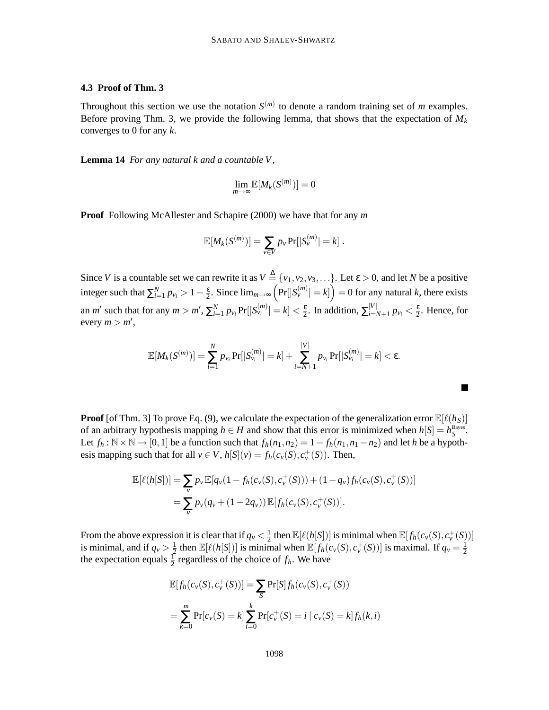### **4.3 Proof of Thm. 3**

Throughout this section we use the notation  $S^{(m)}$  to denote a random training set of *m* examples. Before proving Thm. 3, we provide the following lemma, that shows that the expectation of  $M_k$ converges to 0 for any *k*.

**Lemma 14** *For any natural k and a countable V,*

$$
\lim_{m\to\infty}\mathbb{E}[M_k(S^{(m)})]=0
$$

**Proof** Following McAllester and Schapire (2000) we have that for any *m*

$$
\mathbb{E}[M_k(S^{(m)})] = \sum_{v \in V} p_v \Pr[|S_v^{(m)}| = k].
$$

Since *V* is a countable set we can rewrite it as  $V \stackrel{\Delta}{=} \{v_1, v_2, v_3, \ldots\}$ . Let  $\varepsilon > 0$ , and let *N* be a positive integer such that  $\sum_{i=1}^{N} p_{v_i} > 1 - \frac{\varepsilon}{2}$  $\frac{\varepsilon}{2}$ . Since  $\lim_{m\to\infty} (Pr[|S_v^{(m)}| = k]) = 0$  for any natural *k*, there exists an *m'* such that for any  $m > m'$ ,  $\sum_{i=1}^{N} p_{v_i} Pr[|S_{v_i}^{(m)}| = k] < \frac{\varepsilon}{2}$  $\frac{\varepsilon}{2}$ . In addition,  $\sum_{i=N+1}^{|V|} p_{v_i} < \frac{\varepsilon}{2}$  $\frac{\varepsilon}{2}$ . Hence, for  $every \, m > m',$ 

$$
\mathbb{E}[M_k(S^{(m)})] = \sum_{i=1}^N p_{v_i} \Pr[|S^{(m)}_{v_i}| = k] + \sum_{i=N+1}^{|V|} p_{v_i} \Pr[|S^{(m)}_{v_i}| = k] < \varepsilon.
$$

 $\blacksquare$ 

**Proof** [of Thm. 3] To prove Eq. (9), we calculate the expectation of the generalization error  $\mathbb{E}[\ell(h_S)]$ of an arbitrary hypothesis mapping  $h \in H$  and show that this error is minimized when  $h[S] = h_S^{\text{Bayes}}$ . Let  $f_h$ : N × N → [0, 1] be a function such that  $f_h(n_1, n_2) = 1 - f_h(n_1, n_1 - n_2)$  and let *h* be a hypothesis mapping such that for all  $v \in V$ ,  $h[S](v) = f_h(c_v(S), c_v^+(S))$ . Then,

$$
\mathbb{E}[\ell(h[S])] = \sum_{v} p_{v} \mathbb{E}[q_{v}(1 - f_{h}(c_{v}(S), c_{v}^{+}(S))) + (1 - q_{v}) f_{h}(c_{v}(S), c_{v}^{+}(S))]
$$
  
= 
$$
\sum_{v} p_{v}(q_{v} + (1 - 2q_{v})) \mathbb{E}[f_{h}(c_{v}(S), c_{v}^{+}(S))].
$$

From the above expression it is clear that if  $q_v < \frac{1}{2}$  $\frac{1}{2}$  then  $\mathbb{E}[\ell(h[S])]$  is minimal when  $\mathbb{E}[f_h(c_v(S), c_v^+(S))]$ is minimal, and if  $q_v > \frac{1}{2}$  $\frac{1}{2}$  then  $\mathbb{E}[\ell(h[S])]$  is minimal when  $\mathbb{E}[f_h(c_v(S), c_v^+(S))]$  is maximal. If  $q_v = \frac{1}{2}$ the expectation equals  $\frac{1}{2}$  regardless of the choice of  $f_h$ . We have

$$
\mathbb{E}[f_h(c_v(S), c_v^+(S))] = \sum_{S} \Pr[S] f_h(c_v(S), c_v^+(S))
$$
  
= 
$$
\sum_{k=0}^{m} \Pr[c_v(S) = k] \sum_{i=0}^{k} \Pr[c_v^+(S) = i | c_v(S) = k] f_h(k, i)
$$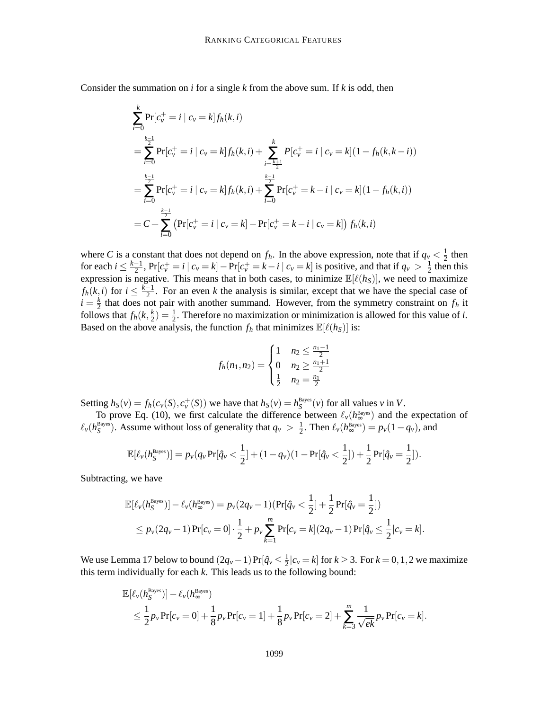Consider the summation on *i* for a single *k* from the above sum. If *k* is odd, then

$$
\sum_{i=0}^{k} \Pr[c_{v}^{+} = i | c_{v} = k] f_{h}(k, i)
$$
\n
$$
= \sum_{i=0}^{\frac{k-1}{2}} \Pr[c_{v}^{+} = i | c_{v} = k] f_{h}(k, i) + \sum_{i=\frac{k+1}{2}}^{k} P[c_{v}^{+} = i | c_{v} = k] (1 - f_{h}(k, k - i))
$$
\n
$$
= \sum_{i=0}^{\frac{k-1}{2}} \Pr[c_{v}^{+} = i | c_{v} = k] f_{h}(k, i) + \sum_{i=0}^{\frac{k-1}{2}} \Pr[c_{v}^{+} = k - i | c_{v} = k] (1 - f_{h}(k, i))
$$
\n
$$
= C + \sum_{i=0}^{\frac{k-1}{2}} (\Pr[c_{v}^{+} = i | c_{v} = k] - \Pr[c_{v}^{+} = k - i | c_{v} = k]) f_{h}(k, i)
$$

where *C* is a constant that does not depend on  $f_h$ . In the above expression, note that if  $q_v < \frac{1}{2}$  $\frac{1}{2}$  then for each  $i \le \frac{k-1}{2}$ ,  $Pr[c_v^+ = i | c_v = k] - Pr[c_v^+ = k - i | c_v = k]$  is positive, and that if  $q_v > \frac{1}{2}$  $\frac{1}{2}$  then this expression is negative. This means that in both cases, to minimize  $\mathbb{E}[\ell(h_s)]$ , we need to maximize  $f_h(k, i)$  for  $i \leq \frac{k-1}{2}$ . For an even *k* the analysis is similar, except that we have the special case of  $i = \frac{k}{2}$  $\frac{k}{2}$  that does not pair with another summand. However, from the symmetry constraint on  $f_h$  it follows that  $f_h(k, \frac{k}{2})$  $(\frac{k}{2}) = \frac{1}{2}$  $\frac{1}{2}$ . Therefore no maximization or minimization is allowed for this value of *i*. Based on the above analysis, the function  $f_h$  that minimizes  $\mathbb{E}[\ell(h_S)]$  is:

$$
f_h(n_1, n_2) = \begin{cases} 1 & n_2 \leq \frac{n_1 - 1}{2} \\ 0 & n_2 \geq \frac{n_1 + 1}{2} \\ \frac{1}{2} & n_2 = \frac{n_1}{2} \end{cases}
$$

Setting  $h_S(v) = f_h(c_v(S), c_v^+(S))$  we have that  $h_S(v) = h_S^{\text{Bayes}}(v)$  for all values v in V.

To prove Eq. (10), we first calculate the difference between  $\ell_v(h_{\infty}^{\text{Bayes}})$  and the expectation of  $\ell_v(h_S^{\text{Bayes}})$ . Assume without loss of generality that  $q_v > \frac{1}{2}$  $\frac{1}{2}$ . Then  $\ell_v(h_{\infty}^{\text{Bayes}}) = p_v(1-q_v)$ , and

$$
\mathbb{E}[\ell_{\nu}(h_{S}^{\text{Bayes}})] = p_{\nu}(q_{\nu} \Pr[\hat{q}_{\nu} < \frac{1}{2}] + (1 - q_{\nu})(1 - \Pr[\hat{q}_{\nu} < \frac{1}{2}]) + \frac{1}{2} \Pr[\hat{q}_{\nu} = \frac{1}{2}]).
$$

Subtracting, we have

$$
\mathbb{E}[\ell_v(h_S^{\text{Bayes}})] - \ell_v(h_{\infty}^{\text{Bayes}}) = p_v(2q_v - 1)(\Pr[\hat{q}_v < \frac{1}{2}] + \frac{1}{2}\Pr[\hat{q}_v = \frac{1}{2}])
$$
  
\n
$$
\leq p_v(2q_v - 1)\Pr[c_v = 0] \cdot \frac{1}{2} + p_v \sum_{k=1}^m \Pr[c_v = k](2q_v - 1)\Pr[\hat{q}_v \leq \frac{1}{2}|c_v = k].
$$

We use Lemma 17 below to bound  $(2q_v - 1) \Pr[\hat{q}_v \leq \frac{1}{2}]$  $\frac{1}{2}|c_v = k|$  for  $k \ge 3$ . For  $k = 0, 1, 2$  we maximize this term individually for each *k*. This leads us to the following bound:

$$
\mathbb{E}[\ell_{\nu}(h_S^{\text{Bayes}})] - \ell_{\nu}(h_{\infty}^{\text{Bayes}})
$$
\n
$$
\leq \frac{1}{2}p_{\nu}\Pr[c_{\nu}=0] + \frac{1}{8}p_{\nu}\Pr[c_{\nu}=1] + \frac{1}{8}p_{\nu}\Pr[c_{\nu}=2] + \sum_{k=3}^{m}\frac{1}{\sqrt{ek}}p_{\nu}\Pr[c_{\nu}=k].
$$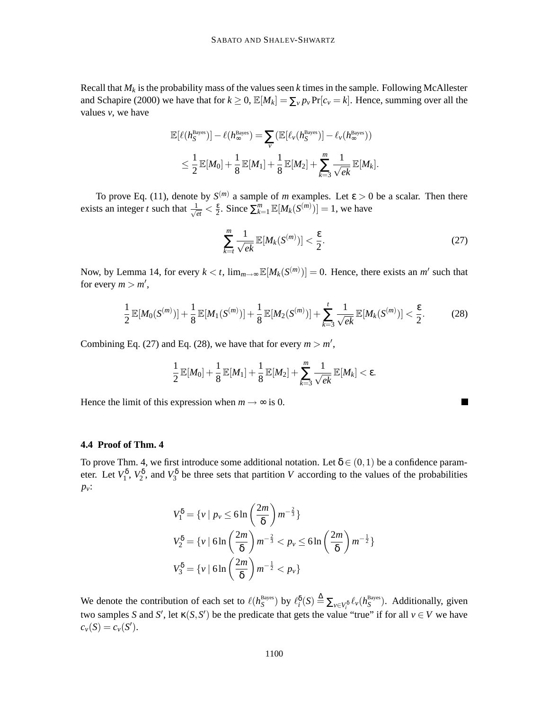Recall that  $M_k$  is the probability mass of the values seen  $k$  times in the sample. Following McAllester and Schapire (2000) we have that for  $k \ge 0$ ,  $\mathbb{E}[M_k] = \sum_{\nu} p_{\nu} \Pr[c_{\nu} = k]$ . Hence, summing over all the values *v*, we have

$$
\mathbb{E}[\ell(h_S^{\text{Bayes}})] - \ell(h_{\infty}^{\text{Bayes}}) = \sum_{\nu} (\mathbb{E}[\ell_{\nu}(h_S^{\text{Bayes}})] - \ell_{\nu}(h_{\infty}^{\text{Bayes}}))
$$
  

$$
\leq \frac{1}{2} \mathbb{E}[M_0] + \frac{1}{8} \mathbb{E}[M_1] + \frac{1}{8} \mathbb{E}[M_2] + \sum_{k=3}^{m} \frac{1}{\sqrt{ek}} \mathbb{E}[M_k].
$$

To prove Eq. (11), denote by  $S^{(m)}$  a sample of *m* examples. Let  $\varepsilon > 0$  be a scalar. Then there exists an integer *t* such that  $\frac{1}{\sqrt{2}}$  $\frac{1}{et} < \frac{\varepsilon}{2}$  $\frac{\varepsilon}{2}$ . Since  $\sum_{k=1}^{m} \mathbb{E}[M_k(S^{(m)})] = 1$ , we have

$$
\sum_{k=t}^{m} \frac{1}{\sqrt{ek}} \mathbb{E}[M_k(S^{(m)})] < \frac{\varepsilon}{2}.\tag{27}
$$

Now, by Lemma 14, for every  $k < t$ ,  $\lim_{m \to \infty} \mathbb{E}[M_k(S^{(m)})] = 0$ . Hence, there exists an *m'* such that for every  $m > m'$ ,

$$
\frac{1}{2}\mathbb{E}[M_0(S^{(m)})] + \frac{1}{8}\mathbb{E}[M_1(S^{(m)})] + \frac{1}{8}\mathbb{E}[M_2(S^{(m)})] + \sum_{k=3}^t \frac{1}{\sqrt{ek}}\mathbb{E}[M_k(S^{(m)})] < \frac{\varepsilon}{2}.\tag{28}
$$

Combining Eq. (27) and Eq. (28), we have that for every  $m > m'$ ,

$$
\frac{1}{2}\mathbb{E}[M_0]+\frac{1}{8}\mathbb{E}[M_1]+\frac{1}{8}\mathbb{E}[M_2]+\sum_{k=3}^m\frac{1}{\sqrt{ek}}\mathbb{E}[M_k]<\epsilon.
$$

Hence the limit of this expression when  $m \rightarrow \infty$  is 0.

#### **4.4 Proof of Thm. 4**

To prove Thm. 4, we first introduce some additional notation. Let  $\delta \in (0,1)$  be a confidence parameter. Let  $V_1^{\delta}$ ,  $V_2^{\delta}$ , and  $V_3^{\delta}$  be three sets that partition *V* according to the values of the probabilities *pv*:

$$
V_1^{\delta} = \{v \mid p_v \le 6\ln\left(\frac{2m}{\delta}\right)m^{-\frac{2}{3}}\}
$$
  

$$
V_2^{\delta} = \{v \mid 6\ln\left(\frac{2m}{\delta}\right)m^{-\frac{2}{3}} < p_v \le 6\ln\left(\frac{2m}{\delta}\right)m^{-\frac{1}{2}}\}
$$
  

$$
V_3^{\delta} = \{v \mid 6\ln\left(\frac{2m}{\delta}\right)m^{-\frac{1}{2}} < p_v\}
$$

We denote the contribution of each set to  $\ell(h_S^{\text{Bayes}})$  by  $\ell_i^{\delta}(S) \triangleq \sum_{v \in V_i^{\delta}} \ell_v(h_S^{\text{Bayes}})$ . Additionally, given two samples *S* and *S'*, let  $\kappa(S, S')$  be the predicate that gets the value "true" if for all  $v \in V$  we have  $c_v(S) = c_v(S')$ .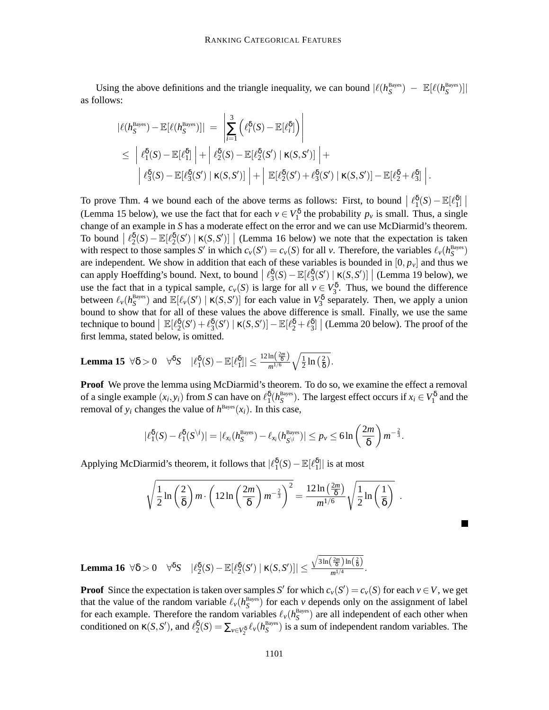Using the above definitions and the triangle inequality, we can bound  $|\ell(h_S^{Bayes}) - \mathbb{E}[\ell(h_S^{Bayes})]|$ as follows:

$$
\begin{split}\n|\ell(h_S^{\text{Bayes}}) - \mathbb{E}[\ell(h_S^{\text{Bayes}})]| &= \left| \sum_{i=1}^3 \left( \ell_i^{\delta}(S) - \mathbb{E}[\ell_i^{\delta}] \right) \right| \\
&\leq \left| \ell_1^{\delta}(S) - \mathbb{E}[\ell_1^{\delta}] \right| + \left| \ell_2^{\delta}(S) - \mathbb{E}[\ell_2^{\delta}(S') \mid \kappa(S, S')] \right| + \\
& \left| \ell_3^{\delta}(S) - \mathbb{E}[\ell_3^{\delta}(S') \mid \kappa(S, S')] \right| + \left| \mathbb{E}[\ell_2^{\delta}(S') + \ell_3^{\delta}(S') \mid \kappa(S, S')] - \mathbb{E}[\ell_2^{\delta} + \ell_3^{\delta}] \right|.\n\end{split}
$$

To prove Thm. 4 we bound each of the above terms as follows: First, to bound  $\left|\ell_1^{\delta}(S) - \mathbb{E}[\ell_1^{\delta}]\right|$ (Lemma 15 below), we use the fact that for each  $v \in V_1^{\delta}$  the probability  $p_v$  is small. Thus, a single change of an example in *S* has a moderate effect on the error and we can use McDiarmid's theorem. To bound  $\left[ \ell_2^{\delta}(S) - \mathbb{E}[\ell_2^{\delta}(S') \mid \kappa(S, S')] \right]$  (Lemma 16 below) we note that the expectation is taken is the respectation is takent with respect to those samples *S'* in which  $c_v(S') = c_v(S)$  for all *v*. Therefore, the variables  $\ell_v(h_S^{Bayes})$ are independent. We show in addition that each of these variables is bounded in  $[0, p_v]$  and thus we can apply Hoeffding's bound. Next, to bound  $\left| \ell_3^{\delta}(S) - \mathbb{E}[\ell_3^{\delta}(S') | \kappa(S, S')] \right|$  (Lemma 19 below), we use the fact that in a typical sample,  $c_v(S)$  is large for all  $v \in V_3^{\delta}$ . Thus, we bound the difference between  $\ell_v(h_S^{\text{Bayes}})$  and  $\mathbb{E}[\ell_v(S') | \kappa(S, S')]$  for each value in  $V_3^{\delta}$  separately. Then, we apply a union bound to show that for all of these values the above difference is small. Finally, we use the same technique to bound  $\mathbb{E}[\ell_2^{\delta}(S') + \ell_3^{\delta}(S') | \kappa(S, S')] - \mathbb{E}[\ell_2^{\delta} + \ell_3^{\delta}]$  (Lemma 20 below). The proof of the first lemma, stated below, is omitted.

**Lemma 15** 
$$
\forall \delta > 0
$$
  $\forall^{\delta} S$   $|\ell_1^{\delta}(S) - \mathbb{E}[\ell_1^{\delta}]| \leq \frac{12 \ln(\frac{2m}{\delta})}{m^{1/6}} \sqrt{\frac{1}{2} \ln(\frac{2}{\delta})}.$ 

**Proof** We prove the lemma using McDiarmid's theorem. To do so, we examine the effect a removal of a single example  $(x_i, y_i)$  from *S* can have on  $\ell_1^{\delta}(h_S^{\text{Bayes}})$ . The largest effect occurs if  $x_i \in V_1^{\delta}$  and the removal of  $y_i$  changes the value of  $h^{\text{Bayes}}(x_i)$ . In this case,

$$
|\ell_1^{\delta}(S)-\ell_1^{\delta}(S^{\backslash i})|=|\ell_{x_i}(h_S^{\text{Bayes}})-\ell_{x_i}(h_{S^{\backslash i}}^{\text{Bayes}})|\leq p_{\nu}\leq 6\ln\left(\frac{2m}{\delta}\right)m^{-\frac{2}{3}}.
$$

Applying McDiarmid's theorem, it follows that  $|\ell_1^{\delta}(S) - \mathbb{E}[\ell_1^{\delta}]|$  is at most

$$
\sqrt{\frac{1}{2}\ln\left(\frac{2}{\delta}\right)m\cdot\left(12\ln\left(\frac{2m}{\delta}\right)m^{-\frac{2}{3}}\right)^2}=\frac{12\ln\left(\frac{2m}{\delta}\right)}{m^{1/6}}\sqrt{\frac{1}{2}\ln\left(\frac{1}{\delta}\right)}.
$$

**Lemma 16**  $\forall \delta > 0$   $\forall^{\delta}S$   $|\ell_2^{\delta}(S) - \mathbb{E}[\ell_2^{\delta}(S') | \kappa(S, S')]| \le$  $\sqrt{3\ln\left(\frac{2m}{\delta}\right)\ln\left(\frac{2}{\delta}\right)}$  $\frac{(0) \times (0)}{m^{1/4}}$ .

**Proof** Since the expectation is taken over samples *S'* for which  $c_v(S') = c_v(S)$  for each  $v \in V$ , we get that the value of the random variable  $\ell_v(h_S^{\text{Bayes}})$  for each *v* depends only on the assignment of label for each example. Therefore the random variables  $\ell_v(h_S^{\text{Bayes}})$  are all independent of each other when conditioned on  $\kappa(S, S')$ , and  $\ell_2^{\delta}(S) = \sum_{v \in V_2^{\delta}} \ell_v(h_S^{\text{Bayes}})$  is a sum of independent random variables. The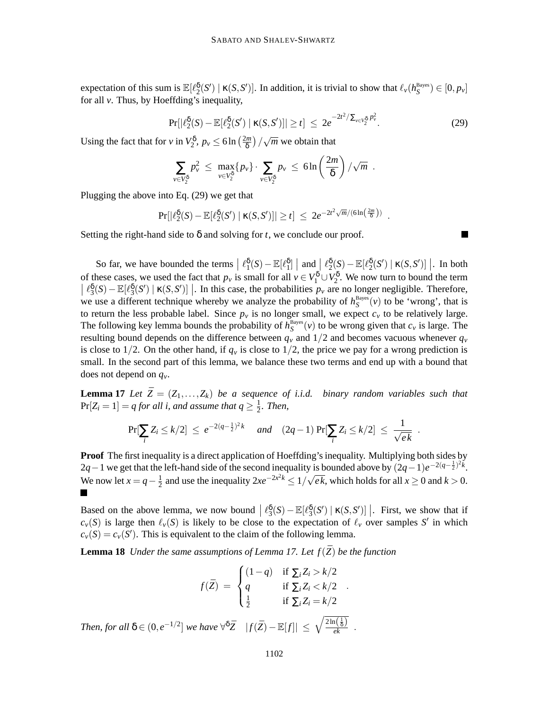expectation of this sum is  $\mathbb{E}[\ell_2^{\delta}(S') | \kappa(S, S')]$ . In addition, it is trivial to show that  $\ell_{\nu}(h_S^{\text{Bayes}}) \in [0, p_{\nu}]$ for all *v*. Thus, by Hoeffding's inequality,

$$
\Pr[|\ell_2^{\delta}(S) - \mathbb{E}[\ell_2^{\delta}(S') | \kappa(S, S')]|\geq t] \leq 2e^{-2t^2/\sum_{v\in V_2^{\delta}} p_v^2}.
$$
 (29)

.

Using the fact that for *v* in  $V_2^{\delta}$ ,  $p_v \le 6 \ln \left(\frac{2m}{\delta}\right)$  $\left(\frac{dm}{\delta}\right)/\sqrt{m}$  we obtain that

$$
\sum_{v \in V_2^{\delta}} p_v^2 \ \leq \ \max_{v \in V_2^{\delta}} \{p_v\} \cdot \sum_{v \in V_2^{\delta}} p_v \ \leq \ 6 \ln \left(\frac{2m}{\delta}\right) / \sqrt{m} \ \ .
$$

Plugging the above into Eq. (29) we get that

$$
\Pr[|\ell_2^{\delta}(S) - \mathbb{E}[\ell_2^{\delta}(S') | \kappa(S, S')]|\geq t] \leq 2e^{-2t^2\sqrt{m}/(6\ln(\frac{2m}{\delta}))}
$$

Setting the right-hand side to  $\delta$  and solving for *t*, we conclude our proof.

So far, we have bounded the terms  $\left| \ell_1^{\delta}(S) - \mathbb{E}[\ell_1^{\delta}] \right|$  and  $\left| \ell_2^{\delta}(S) - \mathbb{E}[\ell_2^{\delta}(S') | \kappa(S, S')] \right|$ . In both of these cases, we used the fact that  $p_\nu$  is small for all  $\nu \in V_1^{\delta} \cup V_2^{\delta}$ . We now turn to bound the term  $\left| \ell_3^{\delta}(S) - \mathbb{E}[\ell_3^{\delta}(S') | \kappa(S, S')] \right|$ . In this case, the probabilities *p<sub>v</sub>* are no longer negligible. Therefore, we use a different technique whereby we analyze the probability of  $h_S^{\text{Bayes}}(v)$  to be 'wrong', that is to return the less probable label. Since  $p<sub>v</sub>$  is no longer small, we expect  $c<sub>v</sub>$  to be relatively large. The following key lemma bounds the probability of  $h_S^{\text{Bayes}}(v)$  to be wrong given that  $c_v$  is large. The resulting bound depends on the difference between  $q<sub>v</sub>$  and 1/2 and becomes vacuous whenever  $q<sub>v</sub>$ is close to  $1/2$ . On the other hand, if  $q<sub>v</sub>$  is close to  $1/2$ , the price we pay for a wrong prediction is small. In the second part of this lemma, we balance these two terms and end up with a bound that does not depend on *qv*.

**Lemma** 17 Let  $\bar{Z} = (Z_1, \ldots, Z_k)$  be a sequence of *i.i.d.* binary random variables such that  $Pr[Z_i = 1] = q$  *for all i, and assume that*  $q \geq \frac{1}{2}$  $\frac{1}{2}$ *. Then,* 

$$
\Pr[\sum_{i} Z_i \le k/2] \le e^{-2(q-\frac{1}{2})^2 k} \quad \text{and} \quad (2q-1) \Pr[\sum_{i} Z_i \le k/2] \le \frac{1}{\sqrt{ek}}.
$$

**Proof** The first inequality is a direct application of Hoeffding's inequality. Multiplying both sides by 2*q*−1 we get that the left-hand side of the second inequality is bounded above by  $(2q-1)e^{-2(q-\frac{1}{2})^2k}$ . We now let  $x = q - \frac{1}{2}$  $\frac{1}{2}$  and use the inequality  $2xe^{-2x^2k} \le 1/\sqrt{ek}$ , which holds for all  $x \ge 0$  and  $k > 0$ .

Based on the above lemma, we now bound  $\left| \ell_3^{\delta}(S) - \mathbb{E}[\ell_3^{\delta}(S') | \kappa(S, S')] \right|$ . First, we show that if  $c_v(S)$  is large then  $\ell_v(S)$  is likely to be close to the expectation of  $\ell_v$  over samples *S*' in which  $c_v(S) = c_v(S')$ . This is equivalent to the claim of the following lemma.

**Lemma 18** *Under the same assumptions of Lemma 17. Let*  $f(\bar{Z})$  *be the function* 

$$
f(\bar{Z}) = \begin{cases} (1-q) & \text{if } \sum_{i} Z_{i} > k/2 \\ q & \text{if } \sum_{i} Z_{i} < k/2 \\ \frac{1}{2} & \text{if } \sum_{i} Z_{i} = k/2 \end{cases}
$$
  
Then, for all  $\delta \in (0, e^{-1/2}]$  we have  $\forall^{\delta} \bar{Z} |f(\bar{Z}) - \mathbb{E}[f]| \leq \sqrt{\frac{2\ln(\frac{1}{\delta})}{ek}}$ .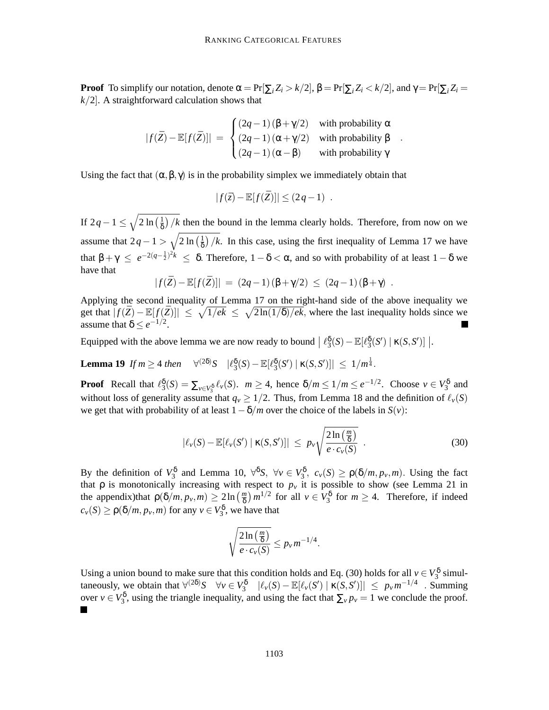**Proof** To simplify our notation, denote  $\alpha = \Pr[\sum_i Z_i > k/2], \beta = \Pr[\sum_i Z_i < k/2]$ , and  $\gamma = \Pr[\sum_i Z_i = k/2]$  $k/2$ . A straightforward calculation shows that

$$
|f(\bar{Z}) - \mathbb{E}[f(\bar{Z})]| = \begin{cases} (2q-1)(\beta + \gamma/2) & \text{with probability } \alpha \\ (2q-1)(\alpha + \gamma/2) & \text{with probability } \beta \\ (2q-1)(\alpha - \beta) & \text{with probability } \gamma \end{cases}
$$

.

Using the fact that  $(\alpha, \beta, \gamma)$  is in the probability simplex we immediately obtain that

$$
|f(\bar{z}) - \mathbb{E}[f(\bar{Z})]| \leq (2q - 1) .
$$

If 2*q* − 1 ≤  $\sqrt{2 \ln \left( \frac{1}{\delta} \right)}$  $\frac{1}{\delta}$  /*k* then the bound in the lemma clearly holds. Therefore, from now on we assume that  $2q - 1 > \sqrt{2 \ln\left(\frac{1}{\delta}\right)}$  $\frac{1}{\delta}$  /*k*. In this case, using the first inequality of Lemma 17 we have that  $\beta + \gamma \le e^{-2(q-\frac{1}{2})^2 k} \le \delta$ . Therefore,  $1-\delta < \alpha$ , and so with probability of at least  $1-\delta$  we have that

$$
|f(\bar{Z}) - \mathbb{E}[f(\bar{Z})]| = (2q - 1)(\beta + \gamma/2) \le (2q - 1)(\beta + \gamma).
$$

Applying the second inequality of Lemma 17 on the right-hand side of the above inequality we get that  $|f(\bar{Z}) - \mathbb{E}[f(\bar{Z})]| \leq \sqrt{1/ek} \leq \sqrt{2\ln(1/\delta)/ek}$ , where the last inequality holds since we assume that  $\delta \leq e^{-1/2}$ .

Equipped with the above lemma we are now ready to bound  $| \ell_3^{\delta}(S) - \mathbb{E}[\ell_3^{\delta}(S') | \kappa(S, S')] |$ .

**Lemma 19** *If*  $m \ge 4$  *then*  $\forall^{(2\delta)}S$   $|\ell_3^{\delta}(S) - \mathbb{E}[\ell_3^{\delta}(S') | \kappa(S, S')] | \le 1/m^{\frac{1}{4}}$ .

**Proof** Recall that  $\ell_3^{\delta}(S) = \sum_{v \in V_3^{\delta}} \ell_v(S)$ .  $m \geq 4$ , hence  $\delta/m \leq 1/m \leq e^{-1/2}$ . Choose  $v \in V_3^{\delta}$  and without loss of generality assume that  $q_v \ge 1/2$ . Thus, from Lemma 18 and the definition of  $\ell_v(S)$ we get that with probability of at least  $1-\delta/m$  over the choice of the labels in *S*(*v*):

$$
|\ell_{\nu}(S) - \mathbb{E}[\ell_{\nu}(S') | \kappa(S, S')]|\leq p_{\nu} \sqrt{\frac{2\ln(\frac{m}{\delta})}{e \cdot c_{\nu}(S)}}\ .
$$
\n(30)

By the definition of  $V_3^{\delta}$  and Lemma 10,  $\forall^{\delta}S$ ,  $\forall v \in V_3^{\delta}$ ,  $c_v(S) \ge \rho(\delta/m, p_v, m)$ . Using the fact that  $\rho$  is monotonically increasing with respect to  $p<sub>v</sub>$  it is possible to show (see Lemma 21 in the appendix)that  $\rho(\delta/m, p_v, m) \geq 2 \ln \left( \frac{m}{\delta} \right)$  $\binom{m}{\delta}$  *m*<sup>1/2</sup> for all  $v \in V_3^{\delta}$  for  $m \geq 4$ . Therefore, if indeed  $c_v(S) \ge \rho(\delta/m, p_v, m)$  for any  $v \in V_3^{\delta}$ , we have that

$$
\sqrt{\frac{2\ln\left(\frac{m}{\delta}\right)}{e \cdot c_v(S)}} \leq p_v m^{-1/4}.
$$

Using a union bound to make sure that this condition holds and Eq. (30) holds for all  $v \in V_3^{\delta}$  simultaneously, we obtain that  $\forall^{(2\delta)}S \quad \forall v \in V_3^{\delta} \quad |\ell_v(S) - \mathbb{E}[\ell_v(S') | \kappa(S, S')] | \leq p_v m^{-1/4}$ . Summing over  $v \in V_3^{\delta}$ , using the triangle inequality, and using the fact that  $\sum_v p_v = 1$  we conclude the proof.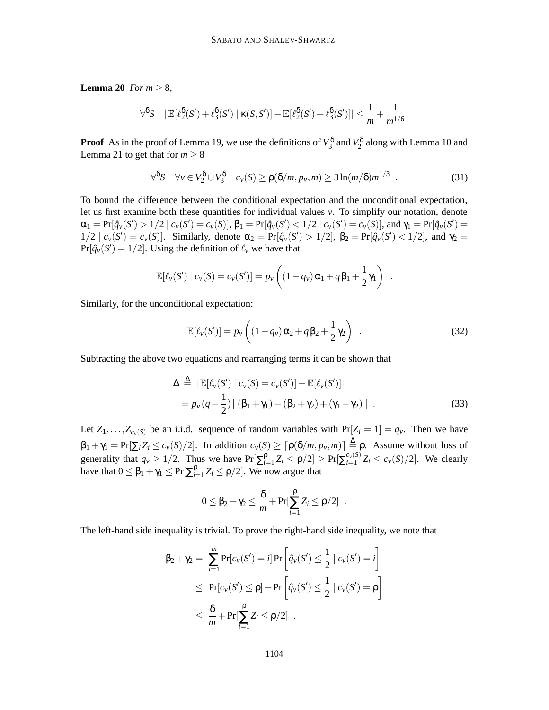**Lemma** 20 *For*  $m \ge 8$ *,* 

$$
\forall \delta S \quad |\mathbb{E}[\ell_2^{\delta}(S') + \ell_3^{\delta}(S') \mid \kappa(S, S')] - \mathbb{E}[\ell_2^{\delta}(S') + \ell_3^{\delta}(S')]|\leq \frac{1}{m} + \frac{1}{m^{1/6}}.
$$

**Proof** As in the proof of Lemma 19, we use the definitions of  $V_3^{\delta}$  and  $V_2^{\delta}$  along with Lemma 10 and Lemma 21 to get that for  $m \geq 8$ 

$$
\forall^{\delta} S \quad \forall v \in V_2^{\delta} \cup V_3^{\delta} \quad c_v(S) \ge \rho(\delta/m, p_v, m) \ge 3\ln(m/\delta)m^{1/3} \quad . \tag{31}
$$

To bound the difference between the conditional expectation and the unconditional expectation, let us first examine both these quantities for individual values *v*. To simplify our notation, denote  $\alpha_1 = \Pr[\hat{q}_v(S') > 1/2 | c_v(S') = c_v(S)], \beta_1 = \Pr[\hat{q}_v(S') < 1/2 | c_v(S') = c_v(S)], \text{ and } \gamma_1 = \Pr[\hat{q}_v(S') = 1/2 | c_v(S') = c_v(S)]$  $1/2 \mid c_v(S') = c_v(S)$ . Similarly, denote  $\alpha_2 = \Pr[\hat{q}_v(S') > 1/2]$ ,  $\beta_2 = \Pr[\hat{q}_v(S') < 1/2]$ , and  $\gamma_2 =$  $Pr[\hat{q}_v(S') = 1/2]$ . Using the definition of  $\ell_v$  we have that

$$
\mathbb{E}[\ell_{\nu}(S') | c_{\nu}(S) = c_{\nu}(S')] = p_{\nu}\left((1-q_{\nu})\alpha_1 + q\beta_1 + \frac{1}{2}\gamma_1\right) .
$$

Similarly, for the unconditional expectation:

$$
\mathbb{E}[\ell_v(S')] = p_v\left((1-q_v)\alpha_2 + q\beta_2 + \frac{1}{2}\gamma_2\right) \tag{32}
$$

Subtracting the above two equations and rearranging terms it can be shown that

$$
\Delta \stackrel{\Delta}{=} |\mathbb{E}[\ell_v(S') | c_v(S) = c_v(S')] - \mathbb{E}[\ell_v(S')]|
$$
  
=  $p_v(q - \frac{1}{2}) | (\beta_1 + \gamma_1) - (\beta_2 + \gamma_2) + (\gamma_1 - \gamma_2) |.$  (33)

Let  $Z_1, \ldots, Z_{c_v(S)}$  be an i.i.d. sequence of random variables with  $Pr[Z_i = 1] = q_v$ . Then we have  $\beta_1 + \gamma_1 = \Pr[\sum_i Z_i \le c_v(S)/2]$ . In addition  $c_v(S) \ge \lceil \rho(\delta/m, p_v, m) \rceil \triangleq \rho$ . Assume without loss of generality that  $q_v \ge 1/2$ . Thus we have  $Pr[\sum_{i=1}^{p}$  $\frac{\rho}{\rho_{i=1}} Z_i \leq \rho/2 \geq \Pr[\sum_{i=1}^{c_{\nu}(S)}$  $\sum_{i=1}^{c_v(s)} Z_i \leq c_v(S)/2$ . We clearly have that  $0 \leq \beta_1 + \gamma_1 \leq Pr[\sum_{i=1}^{\beta}$  $\sum_{i=1}^{p} Z_i \leq \rho/2$ . We now argue that

$$
0 \leq \beta_2 + \gamma_2 \leq \frac{\delta}{m} + \Pr[\sum_{i=1}^{\rho} Z_i \leq \rho/2] .
$$

The left-hand side inequality is trivial. To prove the right-hand side inequality, we note that

$$
\beta_2 + \gamma_2 = \sum_{i=1}^m \Pr[c_v(S') = i] \Pr\left[\hat{q}_v(S') \le \frac{1}{2} \mid c_v(S') = i\right]
$$
  
\n
$$
\le \Pr[c_v(S') \le \rho] + \Pr\left[\hat{q}_v(S') \le \frac{1}{2} \mid c_v(S') = \rho\right]
$$
  
\n
$$
\le \frac{\delta}{m} + \Pr[\sum_{i=1}^{\rho} Z_i \le \rho/2] .
$$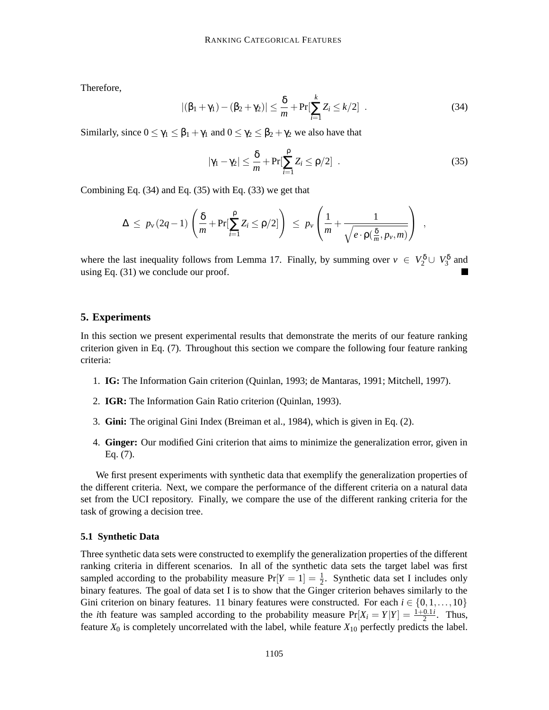Therefore,

$$
|(\beta_1 + \gamma_1) - (\beta_2 + \gamma_2)| \le \frac{\delta}{m} + \Pr[\sum_{i=1}^k Z_i \le k/2]. \tag{34}
$$

Similarly, since  $0 \le \gamma_1 \le \beta_1 + \gamma_1$  and  $0 \le \gamma_2 \le \beta_2 + \gamma_2$  we also have that

$$
|\gamma_1 - \gamma_2| \leq \frac{\delta}{m} + \Pr[\sum_{i=1}^{\rho} Z_i \leq \rho/2] . \tag{35}
$$

Combining Eq. (34) and Eq. (35) with Eq. (33) we get that

$$
\Delta \leq p_{\nu}(2q-1)\left(\frac{\delta}{m}+\Pr[\sum_{i=1}^{\rho}Z_i \leq \rho/2]\right) \leq p_{\nu}\left(\frac{1}{m}+\frac{1}{\sqrt{e\cdot p(\frac{\delta}{m},p_{\nu},m)}}\right) ,
$$

where the last inequality follows from Lemma 17. Finally, by summing over  $v \in V_2^{\delta} \cup V_3^{\delta}$  and using Eq. (31) we conclude our proof.

#### **5. Experiments**

In this section we present experimental results that demonstrate the merits of our feature ranking criterion given in Eq. (7). Throughout this section we compare the following four feature ranking criteria:

- 1. **IG:** The Information Gain criterion (Quinlan, 1993; de Mantaras, 1991; Mitchell, 1997).
- 2. **IGR:** The Information Gain Ratio criterion (Quinlan, 1993).
- 3. **Gini:** The original Gini Index (Breiman et al., 1984), which is given in Eq. (2).
- 4. **Ginger:** Our modified Gini criterion that aims to minimize the generalization error, given in Eq. (7).

We first present experiments with synthetic data that exemplify the generalization properties of the different criteria. Next, we compare the performance of the different criteria on a natural data set from the UCI repository. Finally, we compare the use of the different ranking criteria for the task of growing a decision tree.

#### **5.1 Synthetic Data**

Three synthetic data sets were constructed to exemplify the generalization properties of the different ranking criteria in different scenarios. In all of the synthetic data sets the target label was first sampled according to the probability measure  $Pr[Y = 1] = \frac{1}{2}$  $\frac{1}{2}$ . Synthetic data set I includes only binary features. The goal of data set I is to show that the Ginger criterion behaves similarly to the Gini criterion on binary features. 11 binary features were constructed. For each  $i \in \{0,1,\ldots,10\}$ the *i*th feature was sampled according to the probability measure  $Pr[X_i = Y|Y] = \frac{1+0.1i}{2}$ . Thus, feature  $X_0$  is completely uncorrelated with the label, while feature  $X_{10}$  perfectly predicts the label.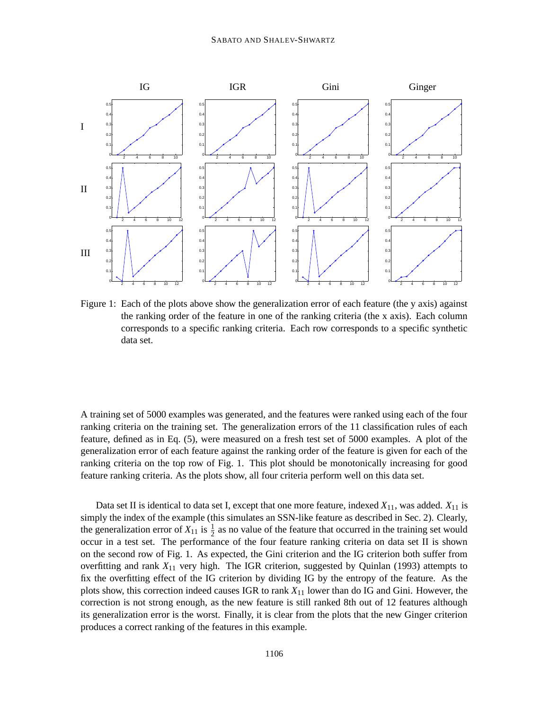

Figure 1: Each of the plots above show the generalization error of each feature (the y axis) against the ranking order of the feature in one of the ranking criteria (the x axis). Each column corresponds to a specific ranking criteria. Each row corresponds to a specific synthetic data set.

A training set of 5000 examples was generated, and the features were ranked using each of the four ranking criteria on the training set. The generalization errors of the 11 classification rules of each feature, defined as in Eq. (5), were measured on a fresh test set of 5000 examples. A plot of the generalization error of each feature against the ranking order of the feature is given for each of the ranking criteria on the top row of Fig. 1. This plot should be monotonically increasing for good feature ranking criteria. As the plots show, all four criteria perform well on this data set.

Data set II is identical to data set I, except that one more feature, indexed *X*11, was added. *X*<sup>11</sup> is simply the index of the example (this simulates an SSN-like feature as described in Sec. 2). Clearly, the generalization error of  $X_{11}$  is  $\frac{1}{2}$  as no value of the feature that occurred in the training set would occur in a test set. The performance of the four feature ranking criteria on data set II is shown on the second row of Fig. 1. As expected, the Gini criterion and the IG criterion both suffer from overfitting and rank *X*<sup>11</sup> very high. The IGR criterion, suggested by Quinlan (1993) attempts to fix the overfitting effect of the IG criterion by dividing IG by the entropy of the feature. As the plots show, this correction indeed causes IGR to rank *X*<sup>11</sup> lower than do IG and Gini. However, the correction is not strong enough, as the new feature is still ranked 8th out of 12 features although its generalization error is the worst. Finally, it is clear from the plots that the new Ginger criterion produces a correct ranking of the features in this example.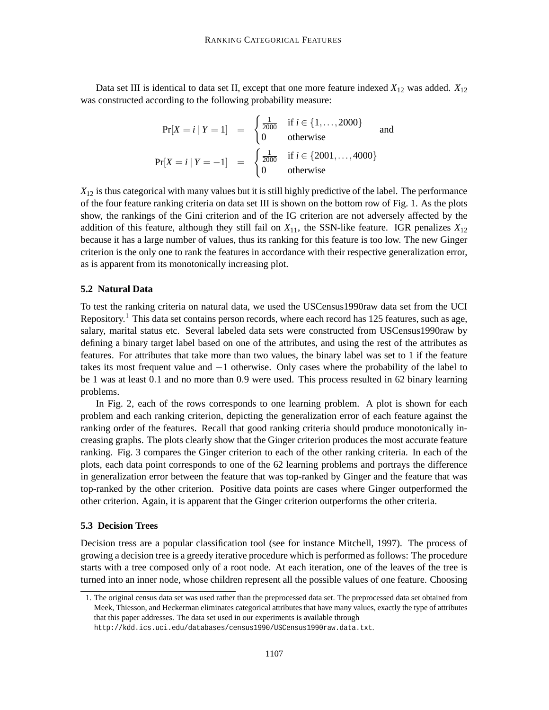Data set III is identical to data set II, except that one more feature indexed *X*<sup>12</sup> was added. *X*<sup>12</sup> was constructed according to the following probability measure:

$$
\Pr[X = i | Y = 1] = \begin{cases} \frac{1}{2000} & \text{if } i \in \{1, ..., 2000\} \\ 0 & \text{otherwise} \end{cases}
$$
 and  

$$
\Pr[X = i | Y = -1] = \begin{cases} \frac{1}{2000} & \text{if } i \in \{2001, ..., 4000\} \\ 0 & \text{otherwise} \end{cases}
$$

*X*<sup>12</sup> is thus categorical with many values but it is still highly predictive of the label. The performance of the four feature ranking criteria on data set III is shown on the bottom row of Fig. 1. As the plots show, the rankings of the Gini criterion and of the IG criterion are not adversely affected by the addition of this feature, although they still fail on  $X_{11}$ , the SSN-like feature. IGR penalizes  $X_{12}$ because it has a large number of values, thus its ranking for this feature is too low. The new Ginger criterion is the only one to rank the features in accordance with their respective generalization error, as is apparent from its monotonically increasing plot.

### **5.2 Natural Data**

To test the ranking criteria on natural data, we used the USCensus1990raw data set from the UCI Repository.<sup>1</sup> This data set contains person records, where each record has 125 features, such as age, salary, marital status etc. Several labeled data sets were constructed from USCensus1990raw by defining a binary target label based on one of the attributes, and using the rest of the attributes as features. For attributes that take more than two values, the binary label was set to 1 if the feature takes its most frequent value and −1 otherwise. Only cases where the probability of the label to be 1 was at least 0.1 and no more than 0.9 were used. This process resulted in 62 binary learning problems.

In Fig. 2, each of the rows corresponds to one learning problem. A plot is shown for each problem and each ranking criterion, depicting the generalization error of each feature against the ranking order of the features. Recall that good ranking criteria should produce monotonically increasing graphs. The plots clearly show that the Ginger criterion produces the most accurate feature ranking. Fig. 3 compares the Ginger criterion to each of the other ranking criteria. In each of the plots, each data point corresponds to one of the 62 learning problems and portrays the difference in generalization error between the feature that was top-ranked by Ginger and the feature that was top-ranked by the other criterion. Positive data points are cases where Ginger outperformed the other criterion. Again, it is apparent that the Ginger criterion outperforms the other criteria.

#### **5.3 Decision Trees**

Decision tress are a popular classification tool (see for instance Mitchell, 1997). The process of growing a decision tree is a greedy iterative procedure which is performed as follows: The procedure starts with a tree composed only of a root node. At each iteration, one of the leaves of the tree is turned into an inner node, whose children represent all the possible values of one feature. Choosing

<sup>1.</sup> The original census data set was used rather than the preprocessed data set. The preprocessed data set obtained from Meek, Thiesson, and Heckerman eliminates categorical attributes that have many values, exactly the type of attributes that this paper addresses. The data set used in our experiments is available through http://kdd.ics.uci.edu/databases/census1990/USCensus1990raw.data.txt.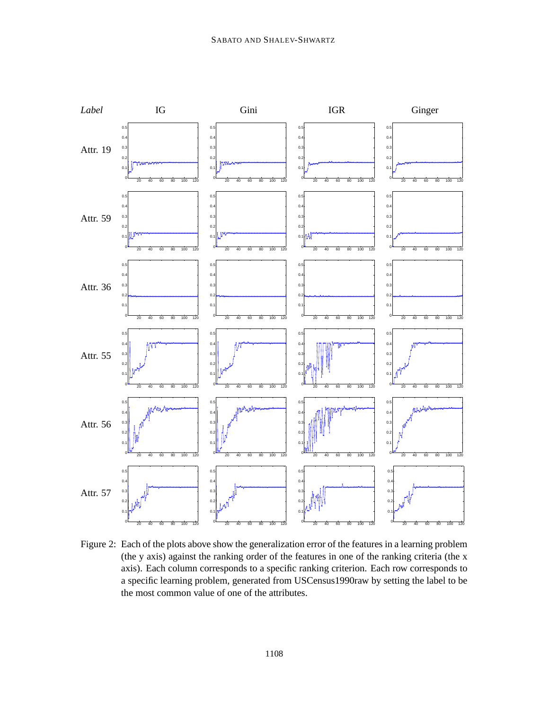

Figure 2: Each of the plots above show the generalization error of the features in a learning problem (the y axis) against the ranking order of the features in one of the ranking criteria (the x axis). Each column corresponds to a specific ranking criterion. Each row corresponds to a specific learning problem, generated from USCensus1990raw by setting the label to be the most common value of one of the attributes.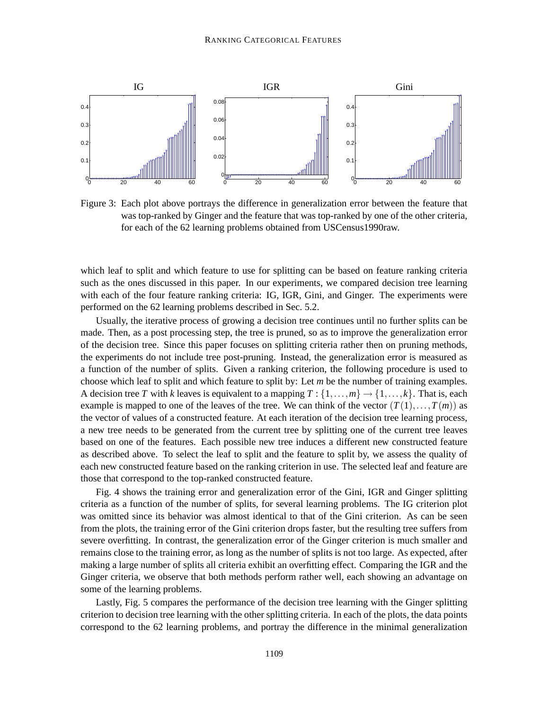

Figure 3: Each plot above portrays the difference in generalization error between the feature that was top-ranked by Ginger and the feature that was top-ranked by one of the other criteria, for each of the 62 learning problems obtained from USCensus1990raw.

which leaf to split and which feature to use for splitting can be based on feature ranking criteria such as the ones discussed in this paper. In our experiments, we compared decision tree learning with each of the four feature ranking criteria: IG, IGR, Gini, and Ginger. The experiments were performed on the 62 learning problems described in Sec. 5.2.

Usually, the iterative process of growing a decision tree continues until no further splits can be made. Then, as a post processing step, the tree is pruned, so as to improve the generalization error of the decision tree. Since this paper focuses on splitting criteria rather then on pruning methods, the experiments do not include tree post-pruning. Instead, the generalization error is measured as a function of the number of splits. Given a ranking criterion, the following procedure is used to choose which leaf to split and which feature to split by: Let *m* be the number of training examples. A decision tree *T* with *k* leaves is equivalent to a mapping  $T : \{1, \ldots, m\} \rightarrow \{1, \ldots, k\}$ . That is, each example is mapped to one of the leaves of the tree. We can think of the vector  $(T(1),...,T(m))$  as the vector of values of a constructed feature. At each iteration of the decision tree learning process, a new tree needs to be generated from the current tree by splitting one of the current tree leaves based on one of the features. Each possible new tree induces a different new constructed feature as described above. To select the leaf to split and the feature to split by, we assess the quality of each new constructed feature based on the ranking criterion in use. The selected leaf and feature are those that correspond to the top-ranked constructed feature.

Fig. 4 shows the training error and generalization error of the Gini, IGR and Ginger splitting criteria as a function of the number of splits, for several learning problems. The IG criterion plot was omitted since its behavior was almost identical to that of the Gini criterion. As can be seen from the plots, the training error of the Gini criterion drops faster, but the resulting tree suffers from severe overfitting. In contrast, the generalization error of the Ginger criterion is much smaller and remains close to the training error, as long as the number of splits is not too large. As expected, after making a large number of splits all criteria exhibit an overfitting effect. Comparing the IGR and the Ginger criteria, we observe that both methods perform rather well, each showing an advantage on some of the learning problems.

Lastly, Fig. 5 compares the performance of the decision tree learning with the Ginger splitting criterion to decision tree learning with the other splitting criteria. In each of the plots, the data points correspond to the 62 learning problems, and portray the difference in the minimal generalization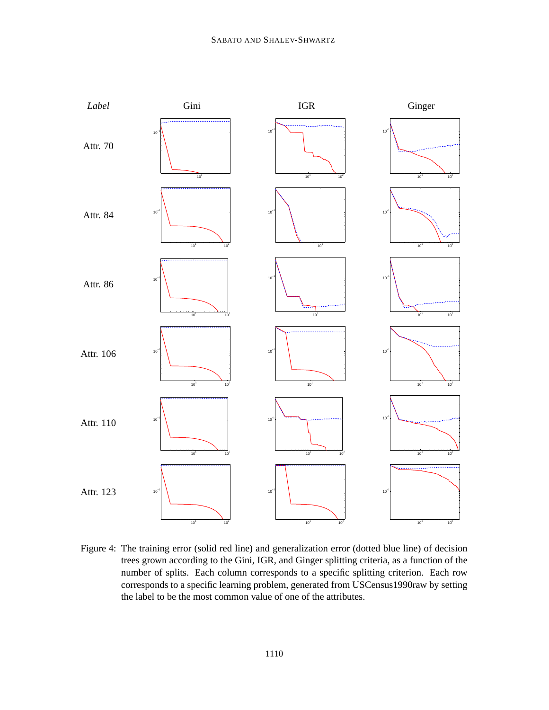

Figure 4: The training error (solid red line) and generalization error (dotted blue line) of decision trees grown according to the Gini, IGR, and Ginger splitting criteria, as a function of the number of splits. Each column corresponds to a specific splitting criterion. Each row corresponds to a specific learning problem, generated from USCensus1990raw by setting the label to be the most common value of one of the attributes.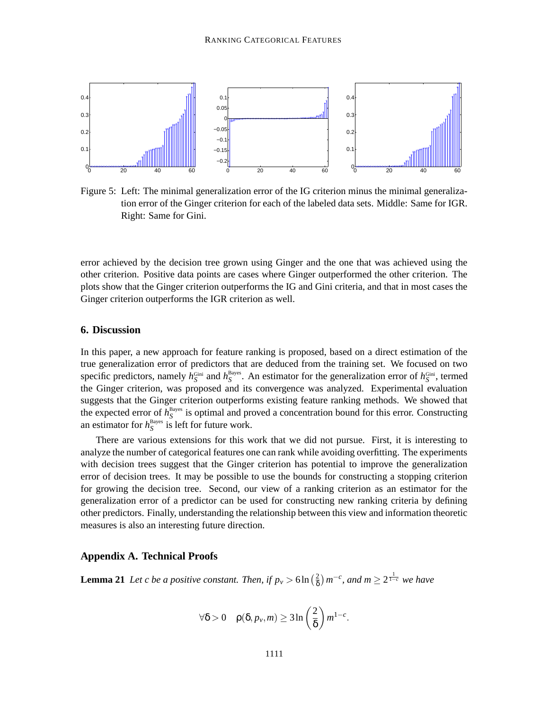

Figure 5: Left: The minimal generalization error of the IG criterion minus the minimal generalization error of the Ginger criterion for each of the labeled data sets. Middle: Same for IGR. Right: Same for Gini.

error achieved by the decision tree grown using Ginger and the one that was achieved using the other criterion. Positive data points are cases where Ginger outperformed the other criterion. The plots show that the Ginger criterion outperforms the IG and Gini criteria, and that in most cases the Ginger criterion outperforms the IGR criterion as well.

# **6. Discussion**

In this paper, a new approach for feature ranking is proposed, based on a direct estimation of the true generalization error of predictors that are deduced from the training set. We focused on two specific predictors, namely  $h_S^{\text{Gini}}$  and  $h_S^{\text{Bayes}}$ . An estimator for the generalization error of  $h_S^{\text{Gini}}$ , termed the Ginger criterion, was proposed and its convergence was analyzed. Experimental evaluation suggests that the Ginger criterion outperforms existing feature ranking methods. We showed that the expected error of  $h_S^{\text{Bayes}}$  is optimal and proved a concentration bound for this error. Constructing an estimator for  $h_S^{\text{Bayes}}$  is left for future work.

There are various extensions for this work that we did not pursue. First, it is interesting to analyze the number of categorical features one can rank while avoiding overfitting. The experiments with decision trees suggest that the Ginger criterion has potential to improve the generalization error of decision trees. It may be possible to use the bounds for constructing a stopping criterion for growing the decision tree. Second, our view of a ranking criterion as an estimator for the generalization error of a predictor can be used for constructing new ranking criteria by defining other predictors. Finally, understanding the relationship between this view and information theoretic measures is also an interesting future direction.

#### **Appendix A. Technical Proofs**

**Lemma 21** *Let c be a positive constant. Then, if*  $p_v > 6 \ln \left( \frac{2}{8} \right)$  $\left(\frac{2}{\delta}\right)m^{-c}$ , and  $m \geq 2^{\frac{1}{1-c}}$  we have

$$
\forall \delta > 0 \quad \rho(\delta, p_{\nu}, m) \geq 3 \ln \left(\frac{2}{\delta}\right) m^{1-c}.
$$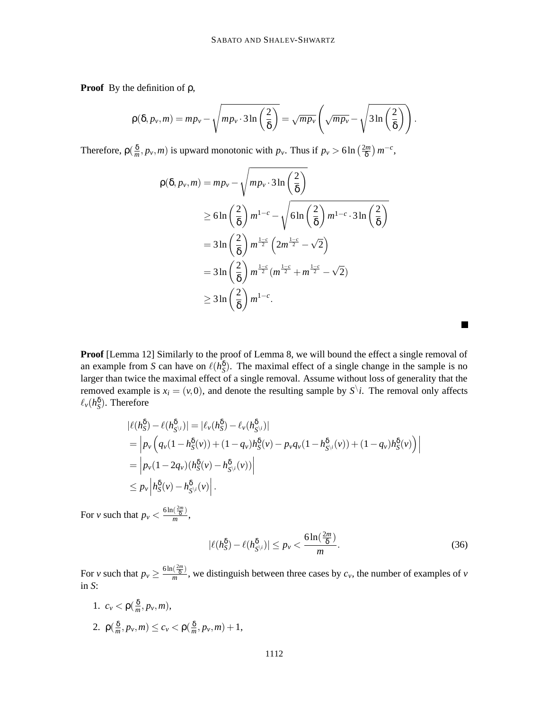**Proof** By the definition of ρ,

$$
\rho(\delta, p_{\nu}, m) = mp_{\nu} - \sqrt{mp_{\nu} \cdot 3 \ln \left(\frac{2}{\delta}\right)} = \sqrt{mp_{\nu}} \left(\sqrt{mp_{\nu}} - \sqrt{3 \ln \left(\frac{2}{\delta}\right)}\right).
$$

Therefore,  $\rho(\frac{\delta}{m})$  $\frac{\delta}{m}$ , *p*<sup>*v*</sup>, *m*) is upward monotonic with *p*<sup>*v*</sup>. Thus if *p*<sup>*v*</sup> > 6ln  $\left(\frac{2m}{\delta}\right)$  $\left(\frac{2m}{\delta}\right)m^{-c}$ ,

$$
\rho(\delta, p_{\nu}, m) = mp_{\nu} - \sqrt{mp_{\nu} \cdot 3 \ln\left(\frac{2}{\delta}\right)}
$$
  
\n
$$
\geq 6 \ln\left(\frac{2}{\delta}\right) m^{1-c} - \sqrt{6 \ln\left(\frac{2}{\delta}\right)} m^{1-c} \cdot 3 \ln\left(\frac{2}{\delta}\right)
$$
  
\n
$$
= 3 \ln\left(\frac{2}{\delta}\right) m^{\frac{1-c}{2}} \left(2m^{\frac{1-c}{2}} - \sqrt{2}\right)
$$
  
\n
$$
= 3 \ln\left(\frac{2}{\delta}\right) m^{\frac{1-c}{2}} (m^{\frac{1-c}{2}} + m^{\frac{1-c}{2}} - \sqrt{2})
$$
  
\n
$$
\geq 3 \ln\left(\frac{2}{\delta}\right) m^{1-c}.
$$

**Proof** [Lemma 12] Similarly to the proof of Lemma 8, we will bound the effect a single removal of an example from *S* can have on  $\ell(h_{S}^{\delta})$ . The maximal effect of a single change in the sample is no larger than twice the maximal effect of a single removal. Assume without loss of generality that the removed example is  $x_i = (v, 0)$ , and denote the resulting sample by  $S^{\backslash}i$ . The removal only affects  $\ell_v(h_{\rm S}^{\delta})$ . Therefore

$$
\begin{split} |\ell(h_{S}^{\delta}) - \ell(h_{S^{\backslash i}}^{\delta})| &= |\ell_{\nu}(h_{S}^{\delta}) - \ell_{\nu}(h_{S^{\backslash i}}^{\delta})| \\ &= \left| p_{\nu} \left( q_{\nu} (1 - h_{S}^{\delta}(\nu)) + (1 - q_{\nu}) h_{S}^{\delta}(\nu) - p_{\nu} q_{\nu} (1 - h_{S^{\backslash i}}^{\delta}(\nu)) + (1 - q_{\nu}) h_{S}^{\delta}(\nu) \right) \right| \\ &= \left| p_{\nu} (1 - 2q_{\nu}) (h_{S}^{\delta}(\nu) - h_{S^{\backslash i}}^{\delta}(\nu)) \right| \\ &\leq p_{\nu} \left| h_{S}^{\delta}(\nu) - h_{S^{\backslash i}}^{\delta}(\nu) \right| . \end{split}
$$

For *v* such that  $p_v < \frac{6 \ln(\frac{2m}{\delta})}{m}$  $\frac{\sqrt{\delta}}{m}$ ,

$$
|\ell(h_{\mathcal{S}}^{\delta}) - \ell(h_{\mathcal{S}^{\backslash i}}^{\delta})| \leq p_{\nu} < \frac{6\ln(\frac{2m}{\delta})}{m}.\tag{36}
$$

п

For *v* such that  $p_v \geq \frac{6 \ln(\frac{2m}{\delta})}{m}$  $\frac{\sqrt{8}}{m}$ , we distinguish between three cases by  $c_v$ , the number of examples of *v* in *S*:

1.  $c_v < \rho(\frac{\delta}{m})$  $\frac{\mathsf{o}}{m}$ ,  $p_\nu$ , *m*), 2.  $\rho(\frac{\delta}{m})$  $\frac{\delta}{m}, p_v, m$ )  $\leq c_v < \rho$  ( $\frac{\delta}{m}$  $\frac{\delta}{m}, p_{\nu}, m) + 1,$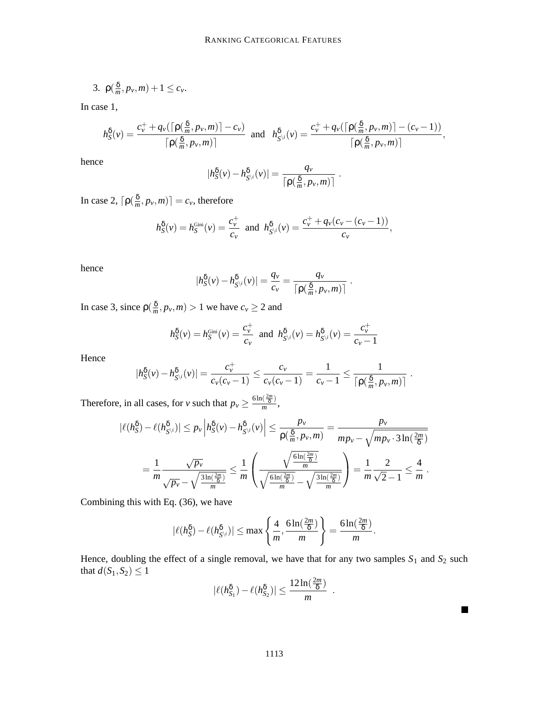$$
3. \ \rho(\tfrac{\delta}{m}, p_\nu, m) + 1 \leq c_\nu.
$$

In case 1,

$$
h_S^{\delta}(v) = \frac{c_v^+ + q_v(\lceil \rho(\frac{\delta}{m}, p_v, m) \rceil - c_v)}{\lceil \rho(\frac{\delta}{m}, p_v, m) \rceil} \text{ and } h_{S^{\backslash i}}^{\delta}(v) = \frac{c_v^+ + q_v(\lceil \rho(\frac{\delta}{m}, p_v, m) \rceil - (c_v - 1))}{\lceil \rho(\frac{\delta}{m}, p_v, m) \rceil},
$$

hence

$$
|h_{S}^{\delta}(v) - h_{S^{\setminus i}}^{\delta}(v)| = \frac{q_{v}}{\left\lceil \rho(\frac{\delta}{m}, p_{v}, m) \right\rceil}
$$

.

In case 2,  $\lceil \rho(\frac{\delta}{m}\rceil)$  $\left[\frac{\delta}{m}, p_v, m\right]$  =  $c_v$ , therefore

$$
h_{S}^{\delta}(v) = h_{S}^{\text{Gini}}(v) = \frac{c_{v}^{+}}{c_{v}} \text{ and } h_{S^{\backslash i}}^{\delta}(v) = \frac{c_{v}^{+} + q_{v}(c_{v} - (c_{v} - 1))}{c_{v}},
$$

hence

$$
|h_{S}^{\delta}(v) - h_{S^{\backslash i}}^{\delta}(v)| = \frac{q_{v}}{c_{v}} = \frac{q_{v}}{\lceil \rho(\frac{\delta}{m}, p_{v}, m) \rceil}.
$$

In case 3, since  $\rho(\frac{\delta}{m})$  $\frac{\delta}{m}$ ,  $p_v$ , *m*) > 1 we have  $c_v \ge 2$  and

$$
h_S^{\delta}(v) = h_S^{\text{Gini}}(v) = \frac{c_v^+}{c_v}
$$
 and  $h_{S^{\backslash i}}^{\delta}(v) = h_{S^{\backslash i}}^{\delta}(v) = \frac{c_v^+}{c_v - 1}$ 

Hence

$$
|h_{S}^{\delta}(v) - h_{S^{\backslash i}}^{\delta}(v)| = \frac{c_{v}^{+}}{c_{v}(c_{v}-1)} \leq \frac{c_{v}}{c_{v}(c_{v}-1)} = \frac{1}{c_{v}-1} \leq \frac{1}{\lceil \rho(\frac{\delta}{m}, p_{v}, m) \rceil}.
$$

Therefore, in all cases, for *v* such that  $p_v \geq \frac{6\ln(\frac{2m}{\delta})}{m}$  $\frac{\sqrt{8}}{m}$ ,

$$
|\ell(h_{S}^{\delta}) - \ell(h_{S^{\backslash i}}^{\delta})| \leq p_{\nu} \left| h_{S}^{\delta}(\nu) - h_{S^{\backslash i}}^{\delta}(\nu) \right| \leq \frac{p_{\nu}}{\rho(\frac{\delta}{m}, p_{\nu}, m)} = \frac{p_{\nu}}{mp_{\nu} - \sqrt{mp_{\nu} \cdot 3 \ln(\frac{2m}{\delta})}} = \frac{1}{m} \frac{\sqrt{p_{\nu}}}{\sqrt{p_{\nu} - \sqrt{\frac{3 \ln(2m)}{\delta}}}} = \frac{1}{m} \frac{\sqrt{p_{\nu}}}{\sqrt{p_{\nu} - \sqrt{\frac{3 \ln(2m)}{\delta}}}} = \frac{1}{m} \frac{\sqrt{\frac{6 \ln(2m)}{\delta}}}{\sqrt{2} - 1} \leq \frac{4}{m}.
$$

Combining this with Eq. (36), we have

$$
|\ell(h_{S}^{\delta}) - \ell(h_{S^{\backslash i}}^{\delta})| \leq \max\left\{\frac{4}{m}, \frac{6\ln(\frac{2m}{\delta})}{m}\right\} = \frac{6\ln(\frac{2m}{\delta})}{m}.
$$

Hence, doubling the effect of a single removal, we have that for any two samples  $S_1$  and  $S_2$  such that  $d(S_1, S_2) \leq 1$ 

$$
|\ell(h_{S_1}^{\delta}) - \ell(h_{S_2}^{\delta})| \le \frac{12\ln(\frac{2m}{\delta})}{m}
$$

.

 $\blacksquare$